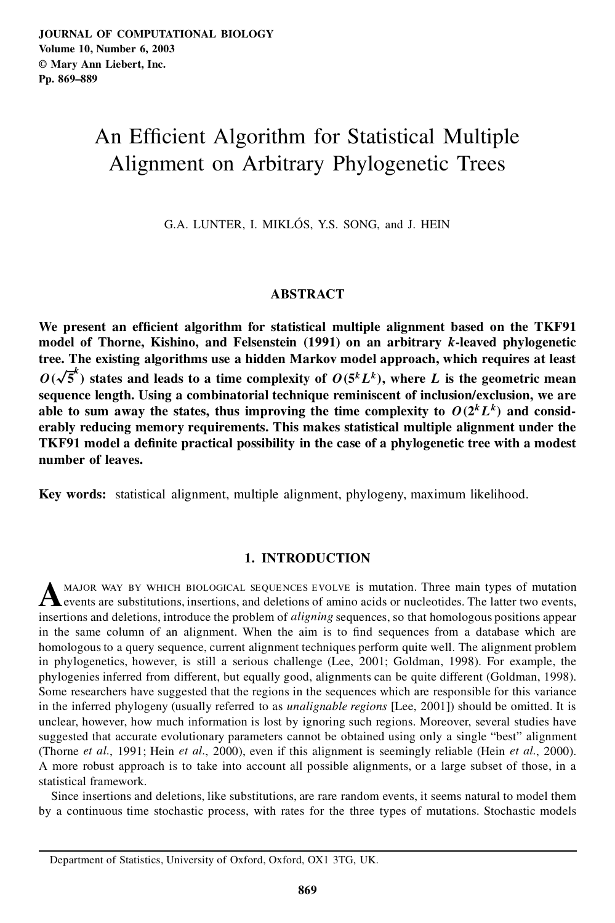# An Efficient Algorithm for Statistical Multiple Alignment on Arbitrary Phylogenetic Trees

G.A. LUNTER, I. MIKLÓS, Y.S. SONG, and J. HEIN

# **ABSTRACT**

**We present an ef cient algorithm for statistical multiple alignment based on the TKF91 model of Thorne, Kishino, and Felsenstein (1991) on an arbitrary** k**-leaved phylogenetic tree. The existing algorithms use a hidden Markov model approach, which requires at least**  $O(\sqrt{5}^k)$  states and leads to a time complexity of  $O(5^k L^k)$ , where L is the geometric mean **sequence length. Using a combinatorial technique reminiscent of inclusion/exclusion, we are able** to sum away the states, thus improving the time complexity to  $O(2^kL^k)$  and consid**erably reducing memory requirements. This makes statistical multiple alignment under the TKF91 model a de nite practical possibility in the case of a phylogenetic tree with a modest number of leaves.**

**Key words:** statistical alignment, multiple alignment, phylogeny, maximum likelihood.

# **1. INTRODUCTION**

A MAJOR WAY BY WHICH BIOLOGICAL SEQUENCES EVOLVE is mutation. Three main types of mutation events, and deletions of amino acids or nucleotides. The latter two events, events are substitutions, insertions, and deletions of amino acids or nucleotides. The latter two events, insertions and deletions, introduce the problem of *aligning* sequences, so that homologous positions appear in the same column of an alignment. When the aim is to find sequences from a database which are homologous to a query sequence, current alignment techniques perform quite well. The alignment problem in phylogenetics, however, is still a serious challenge (Lee, 2001; Goldman, 1998). For example, the phylogenies inferred from different, but equally good, alignments can be quite different (Goldman, 1998). Some researchers have suggested that the regions in the sequences which are responsible for this variance in the inferred phylogeny (usually referred to as *unalignable regions* [Lee, 2001]) should be omitted. It is unclear, however, how much information is lost by ignoring such regions. Moreover, several studies have suggested that accurate evolutionary parameters cannot be obtained using only a single "best" alignment (Thorne *et al.*, 1991; Hein *et al.*, 2000), even if this alignment is seemingly reliable (Hein *et al.*, 2000). A more robust approach is to take into account all possible alignments, or a large subset of those, in a statistical framework.

Since insertions and deletions, like substitutions, are rare random events, it seems natural to model them by a continuous time stochastic process, with rates for the three types of mutations. Stochastic models

Department of Statistics, University of Oxford, Oxford, OX1 3TG, UK.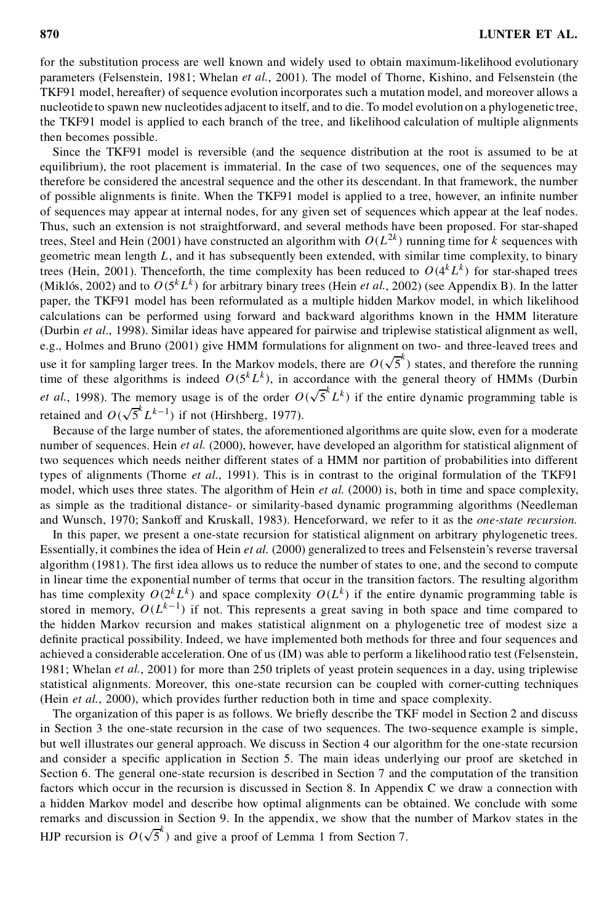for the substitution process are well known and widely used to obtain maximum-likelihood evolutionary parameters (Felsenstein, 1981; Whelan *et al.*, 2001). The model of Thorne, Kishino, and Felsenstein (the TKF91 model, hereafter) of sequence evolution incorporates such a mutation model, and moreover allows a nucleotide to spawn new nucleotides adjacent to itself, and to die. To model evolution on a phylogenetic tree, the TKF91 model is applied to each branch of the tree, and likelihood calculation of multiple alignments then becomes possible.

Since the TKF91 model is reversible (and the sequence distribution at the root is assumed to be at equilibrium), the root placement is immaterial. In the case of two sequences, one of the sequences may therefore be considered the ancestral sequence and the other its descendant. In that framework, the number of possible alignments is finite. When the TKF91 model is applied to a tree, however, an infinite number of sequences may appear at internal nodes, for any given set of sequences which appear at the leaf nodes. Thus, such an extension is not straightforward, and several methods have been proposed. For star-shaped trees, Steel and Hein (2001) have constructed an algorithm with  $O(L^{2k})$  running time for k sequences with geometric mean length  $L$ , and it has subsequently been extended, with similar time complexity, to binary trees (Hein, 2001). Thenceforth, the time complexity has been reduced to  $O(4^kL^k)$  for star-shaped trees (Miklós, 2002) and to  $O(5^k L^k)$  for arbitrary binary trees (Hein *et al.*, 2002) (see Appendix B). In the latter paper, the TKF91 model has been reformulated as a multiple hidden Markov model, in which likelihood calculations can be performed using forward and backward algorithms known in the HMM literature (Durbin *et al.*, 1998). Similar ideas have appeared for pairwise and triplewise statistical alignment as well, e.g., Holmes and Bruno (2001) give HMM formulations for alignment on two- and three-leaved trees and use it for sampling larger trees. In the Markov models, there are  $O(\sqrt{5}^k)$  states, and therefore the running time of these algorithms is indeed  $O(5^k L^k)$ , in accordance with the general theory of HMMs (Durbin *et al.*, 1998). The memory usage is of the order  $O(\sqrt{5}^k L^k)$  if the entire dynamic programming table is retained and  $O(\sqrt{5}^k L^{k-1})$  if not (Hirshberg, 1977).

Because of the large number of states, the aforementioned algorithms are quite slow, even for a moderate number of sequences. Hein *et al.* (2000), however, have developed an algorithm forstatistical alignment of two sequences which needs neither different states of a HMM nor partition of probabilities into different types of alignments (Thorne *et al.*, 1991). This is in contrast to the original formulation of the TKF91 model, which uses three states. The algorithm of Hein *et al.* (2000) is, both in time and space complexity, as simple as the traditional distance- or similarity-based dynamic programming algorithms (Needleman and Wunsch, 1970; Sankoff and Kruskall, 1983). Henceforward, we refer to it as the *one-state recursion*.

In this paper, we present a one-state recursion for statistical alignment on arbitrary phylogenetic trees. Essentially, it combinesthe idea of Hein *et al.* (2000) generalized to trees and Felsenstein's reverse traversal algorithm (1981). The first idea allows us to reduce the number of states to one, and the second to compute in linear time the exponential number of terms that occur in the transition factors. The resulting algorithm has time complexity  $O(2^{k}L^{k})$  and space complexity  $O(L^{k})$  if the entire dynamic programming table is stored in memory,  $O(L^{k-1})$  if not. This represents a great saving in both space and time compared to the hidden Markov recursion and makes statistical alignment on a phylogenetic tree of modest size a definite practical possibility. Indeed, we have implemented both methods for three and four sequences and achieved a considerable acceleration. One of us (IM) was able to perform a likelihood ratio test (Felsenstein, 1981; Whelan *et al.*, 2001) for more than 250 triplets of yeast protein sequences in a day, using triplewise statistical alignments. Moreover, this one-state recursion can be coupled with corner-cutting techniques (Hein *et al.*, 2000), which provides further reduction both in time and space complexity.

The organization of this paper is as follows. We briefly describe the TKF model in Section 2 and discuss in Section 3 the one-state recursion in the case of two sequences. The two-sequence example is simple, but well illustrates our general approach. We discuss in Section 4 our algorithm forthe one-state recursion and consider a specific application in Section 5. The main ideas underlying our proof are sketched in Section 6. The general one-state recursion is described in Section 7 and the computation of the transition factors which occur in the recursion is discussed in Section 8. In Appendix C we draw a connection with a hidden Markov model and describe how optimal alignments can be obtained. We conclude with some remarks and discussion in Section 9. In the appendix, we show that the number of Markov states in the HJP recursion is  $O(\sqrt{5}^k)$  and give a proof of Lemma 1 from Section 7.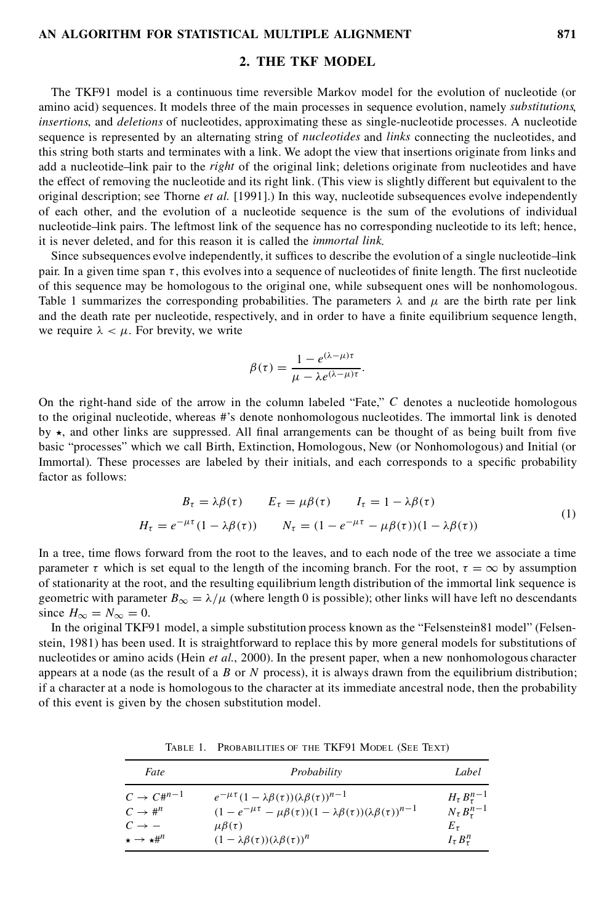## **2. THE TKF MODEL**

The TKF91 model is a continuous time reversible Markov model for the evolution of nucleotide (or amino acid) sequences. It models three of the main processes in sequence evolution, namely *substitutions*, *insertions*, and *deletions* of nucleotides, approximating these as single-nucleotide processes. A nucleotide sequence is represented by an alternating string of *nucleotides* and *links* connecting the nucleotides, and this string both starts and terminates with a link. We adopt the view that insertions originate from links and add a nucleotide–link pair to the *right* of the original link; deletions originate from nucleotides and have the effect of removing the nucleotide and its right link. (This view is slightly different but equivalent to the original description; see Thorne *et al.* [1991].) In this way, nucleotide subsequences evolve independently of each other, and the evolution of a nucleotide sequence is the sum of the evolutions of individual nucleotide–link pairs. The leftmost link of the sequence has no corresponding nucleotide to its left; hence, it is never deleted, and for this reason it is called the *immortal link*.

Since subsequences evolve independently, it suffices to describe the evolution of a single nucleotide–link pair. In a given time span  $\tau$ , this evolves into a sequence of nucleotides of finite length. The first nucleotide of this sequence may be homologous to the original one, while subsequent ones will be nonhomologous. Table 1 summarizes the corresponding probabilities. The parameters  $\lambda$  and  $\mu$  are the birth rate per link and the death rate per nucleotide, respectively, and in order to have a finite equilibrium sequence length, we require  $\lambda < \mu$ . For brevity, we write

$$
\beta(\tau) = \frac{1 - e^{(\lambda - \mu)\tau}}{\mu - \lambda e^{(\lambda - \mu)\tau}}.
$$

On the right-hand side of the arrow in the column labeled "Fate,"  $C$  denotes a nucleotide homologous to the original nucleotide, whereas #'s denote nonhomologous nucleotides. The immortal link is denoted by  $\star$ , and other links are suppressed. All final arrangements can be thought of as being built from five basic "processes" which we call Birth, Extinction, Homologous, New (or Nonhomologous) and Initial (or Immortal). These processes are labeled by their initials, and each corresponds to a specific probability factor as follows:

$$
B_{\tau} = \lambda \beta(\tau) \qquad E_{\tau} = \mu \beta(\tau) \qquad I_{\tau} = 1 - \lambda \beta(\tau)
$$
  

$$
H_{\tau} = e^{-\mu \tau} (1 - \lambda \beta(\tau)) \qquad N_{\tau} = (1 - e^{-\mu \tau} - \mu \beta(\tau)) (1 - \lambda \beta(\tau))
$$
 (1)

In a tree, time flows forward from the root to the leaves, and to each node of the tree we associate a time parameter  $\tau$  which is set equal to the length of the incoming branch. For the root,  $\tau = \infty$  by assumption of stationarity at the root, and the resulting equilibrium length distribution of the immortal link sequence is geometric with parameter  $B_{\infty} = \lambda/\mu$  (where length 0 is possible); other links will have left no descendants since  $H_{\infty} = N_{\infty} = 0$ .

In the original TKF91 model, a simple substitution process known as the "Felsenstein81 model" (Felsenstein, 1981) has been used. It is straightforward to replace this by more general models for substitutions of nucleotides or amino acids (Hein *et al.*, 2000). In the present paper, when a new nonhomologous character appears at a node (as the result of a B or N process), it is always drawn from the equilibrium distribution; if a character at a node is homologous to the character at its immediate ancestral node, then the probability of this event is given by the chosen substitution model.

| Fate                           | Probability                                                                                 | Label                     |
|--------------------------------|---------------------------------------------------------------------------------------------|---------------------------|
| $C \rightarrow C#^{n-1}$       | $e^{-\mu\tau}(1-\lambda\beta(\tau))(\lambda\beta(\tau))^{n-1}$                              | $H_{\tau} B_{\tau}^{n-1}$ |
| $C \rightarrow \#^n$           | $(1 - e^{-\mu \tau} - \mu \beta(\tau))(1 - \lambda \beta(\tau))(\lambda \beta(\tau))^{n-1}$ | $N_{\tau}B_{\tau}^{n-1}$  |
| $C \rightarrow -$              | $\mu \beta(\tau)$                                                                           | $E_{\tau}$                |
| $\star \rightarrow \star \#^n$ | $(1 - \lambda \beta(\tau))(\lambda \beta(\tau))^n$                                          | $I_{\tau} B_{\tau}^{n}$   |

Table 1. Probabilities of the TKF91 Model (See Text)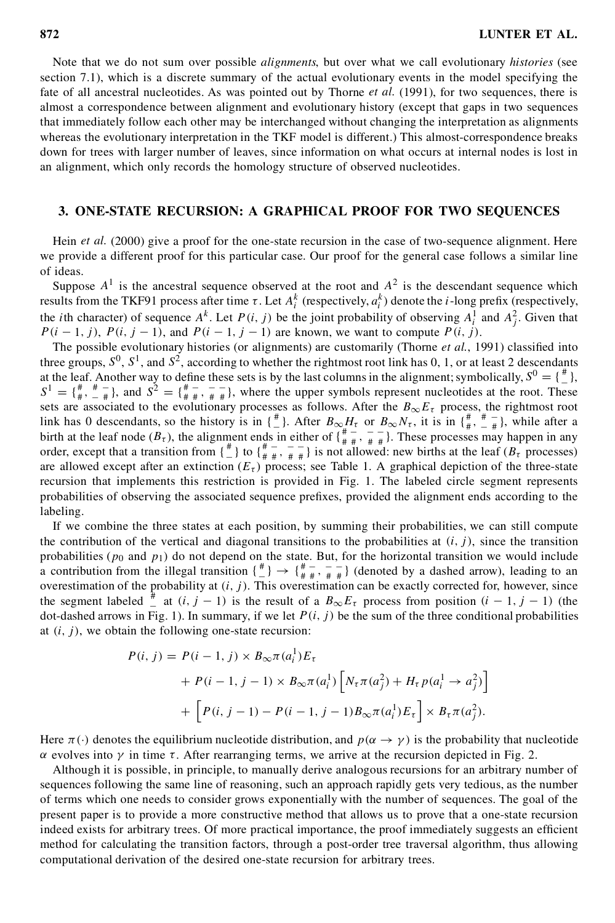Note that we do not sum over possible *alignments*, but over what we call evolutionary *histories* (see section 7.1), which is a discrete summary of the actual evolutionary events in the model specifying the fate of all ancestral nucleotides. As was pointed out by Thorne *et al.* (1991), for two sequences, there is almost a correspondence between alignment and evolutionary history (except that gaps in two sequences that immediately follow each other may be interchanged without changing the interpretation as alignments whereas the evolutionary interpretation in the TKF model is different.) This almost-correspondence breaks down for trees with larger number of leaves, since information on what occurs at internal nodes is lost in an alignment, which only records the homology structure of observed nucleotides.

# **3. ONE-STATE RECURSION: A GRAPHICAL PROOF FOR TWO SEQUENCES**

Hein *et al.* (2000) give a proof for the one-state recursion in the case of two-sequence alignment. Here we provide a different proof for this particular case. Our proof for the general case follows a similar line of ideas.

Suppose  $A^1$  is the ancestral sequence observed at the root and  $A^2$  is the descendant sequence which results from the TKF91 process after time  $\tau$ . Let  $A_i^k$  (respectively,  $a_i^k$ ) denote the *i*-long prefix (respectively, the *i*th character) of sequence  $A^k$ . Let  $P(i, j)$  be the joint probability of observing  $A_i^1$  and  $A_j^2$ . Given that  $P(i - 1, j)$ ,  $P(i, j - 1)$ , and  $P(i - 1, j - 1)$  are known, we want to compute  $P(i, j)$ .<br>The possible evolutionary histories (or alignments) are customarily (Thorne *et al.*, 1991) classified into

three groups,  $S^0$ ,  $S^1$ , and  $S^2$ , according to whether the rightmost root link has 0, 1, or at least 2 descendants at the leaf. Another way to define these sets is by the last columns in the alignment; symbolically,  $S^0 = \{\frac{\mu}{L}\}$ , at the leaf. Another way to define these sets is by the last columns in the alignment; symbolically,  $S^0 = \{\frac{u}{n}\}$ ,  $S^1 = \{\frac{u}{n} + \frac{u}{n} - \frac{u}{n}\}$ , and  $S^2 = \{\frac{u}{n} + \frac{u}{n} + \frac{u}{n}\}$ , where the upper symbols represent sets are associated to the evolutionary processes as follows. After the  $B_{\infty}E_{\tau}$  process, the rightmost root link has 0 descendants, so the history is in  $\{\frac{\#}{A}\}$ . After  $B_{\infty}H_{\tau}$  or  $B_{\infty}N_{\tau}$ , it is in  $\{\frac{\#}{\pi}, \frac{\#}{-\pi}\}$ , while after a birth at the leaf node  $(B_\tau)$ , the alignment ends in either of  $\{\frac{\pi}{\pi}, \frac{\pi}{\pi}, \frac{\pi}{\pi}\}$ . These processes may happen in any order, except that a transition from  $\begin{pmatrix} \frac{\mu}{\mu} \\ -1 \end{pmatrix}$  to  $\begin{pmatrix} \frac{\mu}{\mu} \\ \frac{\mu}{\mu} + \frac{\mu}{\mu} \end{pmatrix}$  is not allowed: new births at the leaf  $(B_{\tau})$  processes) are allowed except after an extinction  $(E<sub>\tau</sub>)$  process; see Table 1. A graphical depiction of the three-state recursion that implements this restriction is provided in Fig. 1. The labeled circle segment represents probabilities of observing the associated sequence prefixes, provided the alignment ends according to the labeling.

If we combine the three states at each position, by summing their probabilities, we can still compute the contribution of the vertical and diagonal transitions to the probabilities at  $(i, j)$ , since the transition probabilities ( $p_0$  and  $p_1$ ) do not depend on the state. But, for the horizontal transition we would include a contribution from the illegal transition  $\{\frac{4}{n}\} \rightarrow \{\frac{4}{n} = \frac{1}{n} = \frac{1}{n}\}$  (denoted by a dashed arrow), leading to an overestimation of the probability at  $(i, j)$ . This overestimation can be exactly corrected for, however, since the segment labeled  $\frac{4}{\pi}$  at  $(i, j - 1)$  is the result of a  $B_{\infty}E_{\tau}$  process from position  $(i - 1, j - 1)$  (the dot-dashed arrows in Fig. 1). In summary, if we let  $P(i, j)$  be the sum of the three conditional probabilities at  $(i, j)$ , we obtain the following one-state recursion:

$$
P(i, j) = P(i - 1, j) \times B_{\infty} \pi(a_i^1) E_{\tau}
$$
  
+ 
$$
P(i - 1, j - 1) \times B_{\infty} \pi(a_i^1) \left[ N_{\tau} \pi(a_j^2) + H_{\tau} p(a_i^1 \to a_j^2) \right]
$$
  
+ 
$$
\left[ P(i, j - 1) - P(i - 1, j - 1) B_{\infty} \pi(a_i^1) E_{\tau} \right] \times B_{\tau} \pi(a_j^2).
$$

Here  $\pi(\cdot)$  denotes the equilibrium nucleotide distribution, and  $p(\alpha \to \gamma)$  is the probability that nucleotide  $\alpha$  evolves into  $\gamma$  in time  $\tau$ . After rearranging terms, we arrive at the recursion depicted in Fig. 2.

Although it is possible, in principle, to manually derive analogous recursions for an arbitrary number of sequences following the same line of reasoning, such an approach rapidly gets very tedious, as the number of terms which one needs to consider grows exponentially with the number of sequences. The goal of the present paper is to provide a more constructive method that allows us to prove that a one-state recursion indeed exists for arbitrary trees. Of more practical importance, the proof immediately suggests an efficient method for calculating the transition factors, through a post-order tree traversal algorithm, thus allowing computational derivation of the desired one-state recursion for arbitrary trees.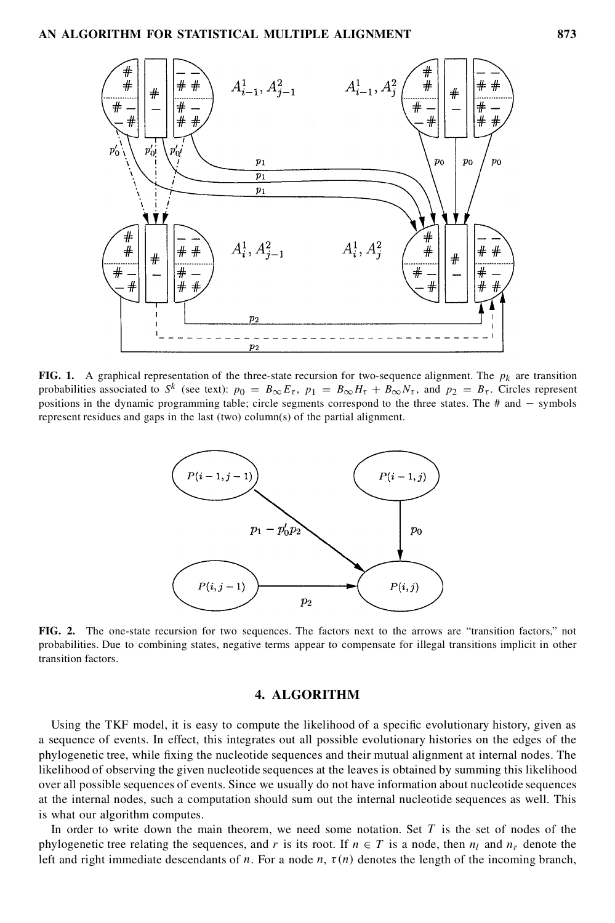

**FIG.** 1. A graphical representation of the three-state recursion for two-sequence alignment. The  $p_k$  are transition probabilities associated to  $S^k$  (see text):  $p_0 = B_{\infty} E_{\tau}$ ,  $p_1 = B_{\infty} H_{\tau} + B_{\infty} N_{\tau}$ , and  $p_2 = B_{\tau}$ . Circles represent positions in the dynamic programming table; circle segments correspond to the three states. The  $#$  and  $-$  symbols represent residues and gaps in the last (two) column(s) of the partial alignment.



**FIG. 2.** The one-state recursion for two sequences. The factors next to the arrows are "transition factors," not probabilities. Due to combining states, negative terms appear to compensate for illegal transitions implicit in other transition factors.

# **4. ALGORITHM**

Using the TKF model, it is easy to compute the likelihood of a specific evolutionary history, given as a sequence of events. In effect, this integrates out all possible evolutionary histories on the edges of the phylogenetic tree, while fixing the nucleotide sequences and their mutual alignment at internal nodes. The likelihood of observing the given nucleotide sequences at the leaves is obtained by summing this likelihood over all possible sequences of events. Since we usually do not have information about nucleotide sequences at the internal nodes, such a computation should sum out the internal nucleotide sequences as well. This is what our algorithm computes.

In order to write down the main theorem, we need some notation. Set  $T$  is the set of nodes of the phylogenetic tree relating the sequences, and r is its root. If  $n \in T$  is a node, then  $n_l$  and  $n_r$  denote the left and right immediate descendants of n. For a node n,  $\tau(n)$  denotes the length of the incoming branch,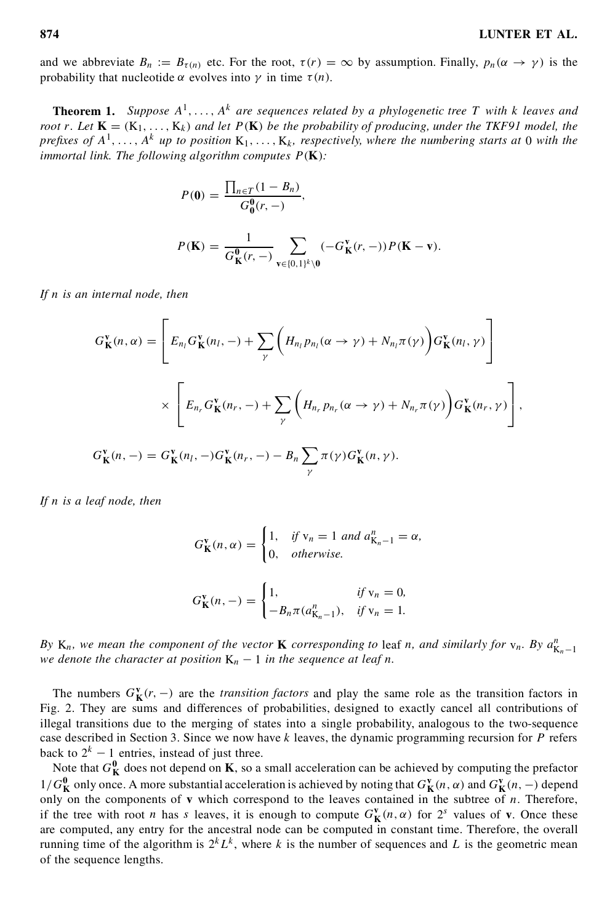and we abbreviate  $B_n := B_{\tau(n)}$  etc. For the root,  $\tau(r) = \infty$  by assumption. Finally,  $p_n(\alpha \to \gamma)$  is the probability that nucleotide  $\alpha$  evolves into  $\gamma$  in time  $\tau(n)$ .

**Theorem 1.** Suppose  $A^1, \ldots, A^k$  are sequences related by a phylogenetic tree T with k leaves and root r. Let  $K = (K_1, ..., K_k)$  and let  $P(K)$  be the probability of producing, under the TKF91 model, the *prefixes of*  $A^1, \ldots, A^k$  *up to position*  $K_1, \ldots, K_k$ *, respectively, where the numbering starts at* 0 *with the immortal link. The following algorithm computes* P.**K**/*:*

$$
P(\mathbf{0}) = \frac{\prod_{n \in T} (1 - B_n)}{G_0^0(r, -)},
$$
  

$$
P(\mathbf{K}) = \frac{1}{G_K^0(r, -)} \sum_{\mathbf{v} \in \{0, 1\}^k \setminus 0} (-G_K^{\mathbf{v}}(r, -)) P(\mathbf{K} - \mathbf{v}).
$$

*If* n *is an internal node, then*

$$
G_{\mathbf{K}}^{\mathbf{v}}(n,\alpha) = \left[ E_{n_l} G_{\mathbf{K}}^{\mathbf{v}}(n_l, -) + \sum_{\gamma} \left( H_{n_l} p_{n_l}(\alpha \to \gamma) + N_{n_l} \pi(\gamma) \right) G_{\mathbf{K}}^{\mathbf{v}}(n_l, \gamma) \right]
$$
  

$$
\times \left[ E_{n_r} G_{\mathbf{K}}^{\mathbf{v}}(n_r, -) + \sum_{\gamma} \left( H_{n_r} p_{n_r}(\alpha \to \gamma) + N_{n_r} \pi(\gamma) \right) G_{\mathbf{K}}^{\mathbf{v}}(n_r, \gamma) \right],
$$
  

$$
G_{\mathbf{K}}^{\mathbf{v}}(n, -) = G_{\mathbf{K}}^{\mathbf{v}}(n_l, -) G_{\mathbf{K}}^{\mathbf{v}}(n_r, -) - B_n \sum_{\gamma} \pi(\gamma) G_{\mathbf{K}}^{\mathbf{v}}(n, \gamma).
$$

*If* n *is a leaf node, then*

$$
G_{\mathbf{K}}^{v}(n,\alpha) = \begin{cases} 1, & \text{if } v_n = 1 \text{ and } a_{K_n-1}^n = \alpha, \\ 0, & \text{otherwise.} \end{cases}
$$

$$
G_{\mathbf{K}}^{v}(n,-) = \begin{cases} 1, & \text{if } v_n = 0, \\ -B_n \pi (a_{K_n-1}^n), & \text{if } v_n = 1. \end{cases}
$$

By  $K_n$ , we mean the component of the vector **K** corresponding to leaf n, and similarly for  $v_n$ . By  $a_{K_n-1}^n$ *we denote the character at position*  $K_n - 1$  *in the sequence at leaf n*.

The numbers  $G_K^{\mathbf{v}}(r, -)$  are the *transition factors* and play the same role as the transition factors in Fig. 2. They are sums and differences of probabilities, designed to exactly cancel all contributions of illegal transitions due to the merging of states into a single probability, analogous to the two-sequence case described in Section 3. Since we now have  $k$  leaves, the dynamic programming recursion for  $P$  refers back to  $2^k - 1$  entries, instead of just three.

Note that  $G_K^0$  does not depend on **K**, so a small acceleration can be achieved by computing the prefactor  $1/G_K^0$  only once. A more substantial acceleration is achieved by noting that  $G_K^v(n, \alpha)$  and  $G_K^v(n, -)$  depend only on the components of  $\bf{v}$  which correspond to the leaves contained in the subtree of  $n$ . Therefore, if the tree with root *n* has *s* leaves, it is enough to compute  $G_K^{\mathbf{v}}(n, \alpha)$  for  $2^s$  values of **v**. Once these are computed, any entry for the ancestral node can be computed in constant time. Therefore, the overall running time of the algorithm is  $2^k L^k$ , where k is the number of sequences and L is the geometric mean of the sequence lengths.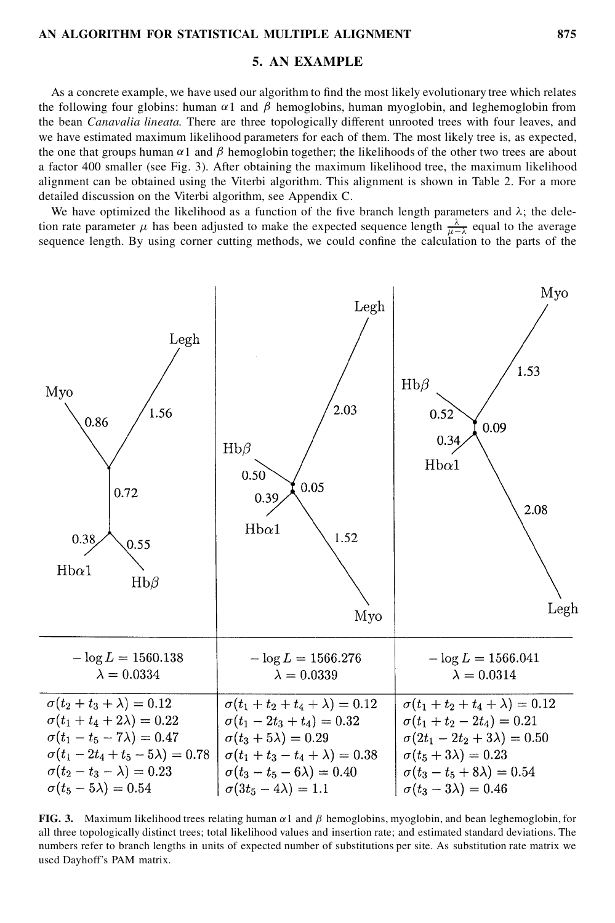# **5. AN EXAMPLE**

As a concrete example, we have used our algorithm to find the most likely evolutionary tree which relates the following four globins: human  $\alpha$ 1 and  $\beta$  hemoglobins, human myoglobin, and leghemoglobin from the bean *Canavalia lineata*. There are three topologically different unrooted trees with four leaves, and we have estimated maximum likelihood parameters for each of them. The most likely tree is, as expected, the one that groups human  $\alpha$ 1 and  $\beta$  hemoglobin together; the likelihoods of the other two trees are about a factor 400 smaller (see Fig. 3). After obtaining the maximum likelihood tree, the maximum likelihood alignment can be obtained using the Viterbi algorithm. This alignment is shown in Table 2. For a more detailed discussion on the Viterbi algorithm, see Appendix C.

We have optimized the likelihood as a function of the five branch length parameters and  $\lambda$ ; the deletion rate parameter  $\mu$  has been adjusted to make the expected sequence length  $\frac{\lambda}{\mu - \lambda}$  equal to the average sequence length. By using corner cutting methods, we could confine the calculation to the parts of the



**FIG. 3.** Maximum likelihood trees relating human  $\alpha$ 1 and  $\beta$  hemoglobins, myoglobin, and bean leghemoglobin, for all three topologically distinct trees; total likelihood values and insertion rate; and estimated standard deviations. The numbers refer to branch lengths in units of expected number of substitutions per site. As substitution rate matrix we used Dayhoff's PAM matrix.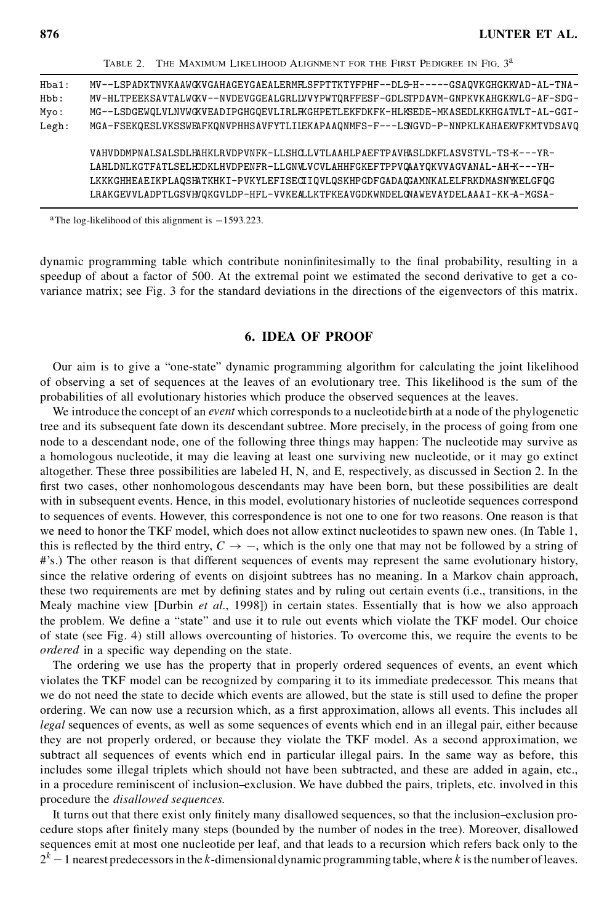|       | TABLE 2. THE MAXIMUM LIKELIHOOD ALIGNMENT FOR THE FIRST PEDIGREE IN FIG. 3 <sup>a</sup> |
|-------|-----------------------------------------------------------------------------------------|
| Hba1: | MV--LSPADKTNVKAAWGXVGAHAGEYGAEALERMHSFPTTKTYFPHF--DLS-H-----GSAQVKGHGKKVAD-AL-TNA-      |
| Hbb:  | MV-HLTPEEKSAVTALWGKV--NVDEVGGEALGRLLVVYPWTQRFFESF-GDLSTPDAVM-GNPKVKAHGKKVLG-AF-SDG-     |
| Myo:  | MG--LSDGEWQLVLNVWGKVEADIPGHGQEVLIRLFKGHPETLEKFDKFK-HLKSEDE-MKASEDLKKHGATVLT-AL-GGI-     |
| Legh: | MGA-FSEKQESLVKSSWEAFKQNVPHHSAVFYTLILEKAPAAQNMFS-F---LSNGVD-P-NNPKLKAHAEKVFKMTVDSAVQ     |
|       | VAHVDDMPNALSALSDLHAHKLRVDPVNFK-LLSHCLVTLAAHLPAEFTPAVHASLDKFLASVSTVL-TS-K---YR-          |
|       | LAHLDNLKGTFATLSELHCDKLHVDPENFR-LLGNVLVCVLAHHFGKEFTPPVQAAYQKVVAGVANAL-AH-K---YH-         |
|       | LKKKGHHEAEIKPLAQSHATKHKI-PVKYLEFISECIIQVLQSKHPGDFGADAQGAMNKALELFRKDMASNWELGFQG          |
|       | LRAKGEVVLADPTLGSVHVQKGVLDP-HFL-VVKEALLKTFKEAVGDKWNDELQNAWEVAYDELAAAI-KK-A-MGSA-         |

<sup>a</sup>The log-likelihood of this alignment is  $-1593.223$ .

dynamic programming table which contribute noninfinitesimally to the final probability, resulting in a speedup of about a factor of 500. At the extremal point we estimated the second derivative to get a covariance matrix; see Fig. 3 for the standard deviations in the directions of the eigenvectors of this matrix.

### **6. IDEA OF PROOF**

Our aim is to give a "one-state" dynamic programming algorithm for calculating the joint likelihood of observing a set of sequences at the leaves of an evolutionary tree. This likelihood is the sum of the probabilities of all evolutionary histories which produce the observed sequences at the leaves.

We introduce the concept of an *event* which corresponds to a nucleotide birth at a node of the phylogenetic tree and its subsequent fate down its descendant subtree. More precisely, in the process of going from one node to a descendant node, one of the following three things may happen: The nucleotide may survive as a homologous nucleotide, it may die leaving at least one surviving new nucleotide, or it may go extinct altogether. These three possibilities are labeled H, N, and E, respectively, as discussed in Section 2. In the first two cases, other nonhomologous descendants may have been born, but these possibilities are dealt with in subsequent events. Hence, in this model, evolutionary histories of nucleotide sequences correspond to sequences of events. However, this correspondence is not one to one for two reasons. One reason is that we need to honor the TKF model, which does not allow extinct nucleotidesto spawn new ones. (In Table 1, this is reflected by the third entry,  $C \rightarrow -$ , which is the only one that may not be followed by a string of #'s.) The other reason is that different sequences of events may represent the same evolutionary history, since the relative ordering of events on disjoint subtrees has no meaning. In a Markov chain approach, these two requirements are met by defining states and by ruling out certain events (i.e., transitions, in the Mealy machine view [Durbin *et al.*, 1998]) in certain states. Essentially that is how we also approach the problem. We define a "state" and use it to rule out events which violate the TKF model. Our choice of state (see Fig. 4) still allows overcounting of histories. To overcome this, we require the events to be *ordered* in a specific way depending on the state.

The ordering we use has the property that in properly ordered sequences of events, an event which violates the TKF model can be recognized by comparing it to its immediate predecessor. This means that we do not need the state to decide which events are allowed, but the state is still used to define the proper ordering. We can now use a recursion which, as a first approximation, allows all events. This includes all *legal* sequences of events, as well as some sequences of events which end in an illegal pair, either because they are not properly ordered, or because they violate the TKF model. As a second approximation, we subtract all sequences of events which end in particular illegal pairs. In the same way as before, this includes some illegal triplets which should not have been subtracted, and these are added in again, etc., in a procedure reminiscent of inclusion–exclusion. We have dubbed the pairs, triplets, etc. involved in this procedure the *disallowed sequences*.

It turns out that there exist only finitely many disallowed sequences, so that the inclusion–exclusion procedure stops after nitely many steps (bounded by the number of nodes in the tree). Moreover, disallowed sequences emit at most one nucleotide per leaf, and that leads to a recursion which refers back only to the  $2^k - 1$  nearest predecessors in the k-dimensional dynamic programming table, where k is the number of leaves.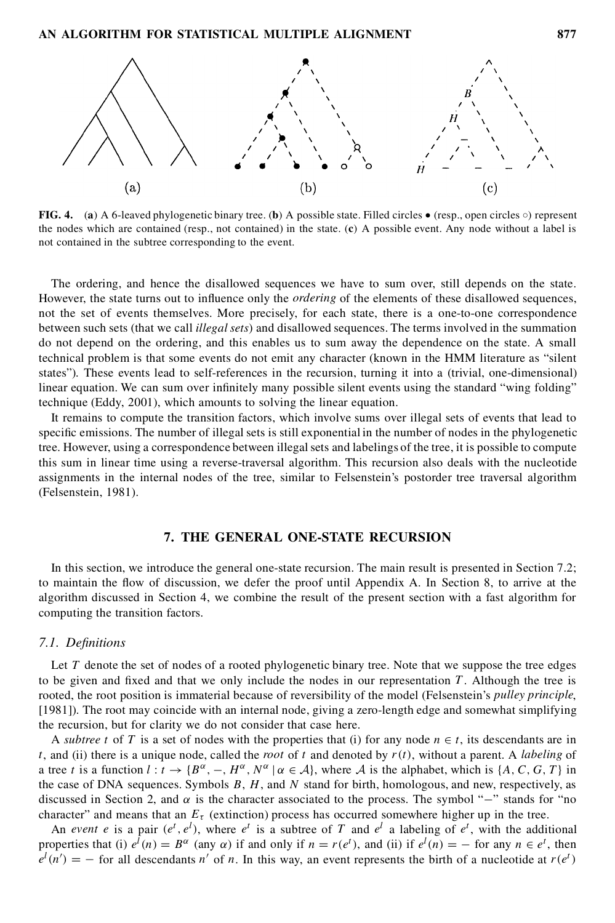

**FIG. 4.** (a) A 6-leaved phylogenetic binary tree. (b) A possible state. Filled circles  $\bullet$  (resp., open circles  $\circ$ ) represent the nodes which are contained (resp., not contained) in the state. (**c**) A possible event. Any node without a label is not contained in the subtree corresponding to the event.

The ordering, and hence the disallowed sequences we have to sum over, still depends on the state. However, the state turns out to influence only the *ordering* of the elements of these disallowed sequences, not the set of events themselves. More precisely, for each state, there is a one-to-one correspondence between such sets (that we call *illegal sets*) and disallowed sequences. The terms involved in the summation do not depend on the ordering, and this enables us to sum away the dependence on the state. A small technical problem is that some events do not emit any character (known in the HMM literature as "silent states"). These events lead to self-references in the recursion, turning it into a (trivial, one-dimensional) linear equation. We can sum over infinitely many possible silent events using the standard "wing folding" technique (Eddy, 2001), which amounts to solving the linear equation.

It remains to compute the transition factors, which involve sums over illegal sets of events that lead to specific emissions. The number of illegal sets is still exponential in the number of nodes in the phylogenetic tree. However, using a correspondence between illegalsets and labelings of the tree, it is possible to compute this sum in linear time using a reverse-traversal algorithm. This recursion also deals with the nucleotide assignments in the internal nodes of the tree, similar to Felsenstein's postorder tree traversal algorithm (Felsenstein, 1981).

# **7. THE GENERAL ONE-STATE RECURSION**

In this section, we introduce the general one-state recursion. The main result is presented in Section 7.2; to maintain the flow of discussion, we defer the proof until Appendix A. In Section 8, to arrive at the algorithm discussed in Section 4, we combine the result of the present section with a fast algorithm for computing the transition factors.

#### *7.1. De nitions*

Let  $T$  denote the set of nodes of a rooted phylogenetic binary tree. Note that we suppose the tree edges to be given and fixed and that we only include the nodes in our representation  $T$ . Although the tree is rooted, the root position is immaterial because of reversibility of the model (Felsenstein's *pulley principle*, [1981]). The root may coincide with an internal node, giving a zero-length edge and somewhat simplifying the recursion, but for clarity we do not consider that case here.

A *subtree* t of T is a set of nodes with the properties that (i) for any node  $n \in t$ , its descendants are in t, and (ii) there is a unique node, called the *root* of t and denoted by  $r(t)$ , without a parent. A *labeling* of a tree t is a function  $l : t \to \{B^{\alpha}, -, H^{\alpha}, N^{\alpha} \mid \alpha \in A\}$ , where A is the alphabet, which is  $\{A, C, G, T\}$  in the case of DNA sequences. Symbols  $B$ ,  $H$ , and  $N$  stand for birth, homologous, and new, respectively, as discussed in Section 2, and  $\alpha$  is the character associated to the process. The symbol "–" stands for "no character" and means that an  $E_{\tau}$  (extinction) process has occurred somewhere higher up in the tree.

An *event* e is a pair  $(e^t, e^l)$ , where  $e^t$  is a subtree of T and  $e^l$  a labeling of  $e^t$ , with the additional properties that (i)  $e^{l}(n) = B^{\alpha}$  (any  $\alpha$ ) if and only if  $n = r(e^{t})$ , and (ii) if  $e^{l}(n) = -$  for any  $n \in e^{t}$ , then  $e^{l}(n') = -$  for all descendants n' of n. In this way, an event represents the birth of a nucleotide at  $r(e^{t})$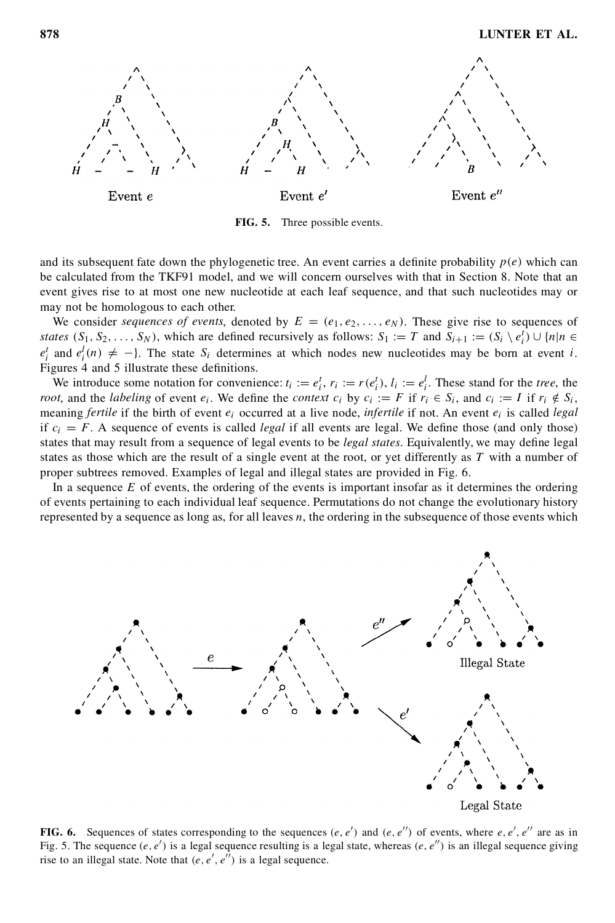

**FIG. 5.** Three possible events.

and its subsequent fate down the phylogenetic tree. An event carries a definite probability  $p(e)$  which can be calculated from the TKF91 model, and we will concern ourselves with that in Section 8. Note that an event gives rise to at most one new nucleotide at each leaf sequence, and that such nucleotides may or may not be homologous to each other.

We consider *sequences* of *events*, denoted by  $E = (e_1, e_2, \ldots, e_N)$ . These give rise to sequences of *states*  $(S_1, S_2, \ldots, S_N)$ , which are defined recursively as follows:  $S_1 := T$  and  $S_{i+1} := (S_i \setminus e_i^t) \cup \{n | n \in I\}$  $e_i^t$  and  $e_i^l(n) \neq -$ }. The state  $S_i$  determines at which nodes new nucleotides may be born at event *i*. Figures 4 and 5 illustrate these definitions.

We introduce some notation for convenience:  $t_i := e_i^t$ ,  $r_i := r(e_i^t)$ ,  $l_i := e_i^t$ . These stand for the *tree*, the *root*, and the *labeling* of event  $e_i$ . We define the *context*  $c_i$  by  $c_i := F$  if  $r_i \in S_i$ , and  $c_i := I$  if  $r_i \notin S_i$ , meaning *fertile* if the birth of event  $e_i$  occurred at a live node, *infertile* if not. An event  $e_i$ if  $c_i = F$ . A sequence of events is called *legal* if all events are legal. We define those (and only those) states that may result from a sequence of legal events to be *legal states*. Equivalently, we may define legal states as those which are the result of a single event at the root, or yet differently as  $T$  with a number of proper subtrees removed. Examples of legal and illegal states are provided in Fig. 6.

In a sequence  $E$  of events, the ordering of the events is important insofar as it determines the ordering of events pertaining to each individual leaf sequence. Permutations do not change the evolutionary history represented by a sequence as long as, for all leaves  $n$ , the ordering in the subsequence of those events which



**FIG. 6.** Sequences of states corresponding to the sequences  $(e, e')$  and  $(e, e'')$  of events, where  $e, e', e''$  are as in Fig. 5. The sequence  $(e, e')$  is a legal sequence resulting is a legal state, whereas  $(e, e'')$  is an illegal sequence giving rise to an illegal state. Note that  $(e, e', e'')$  is a legal sequence.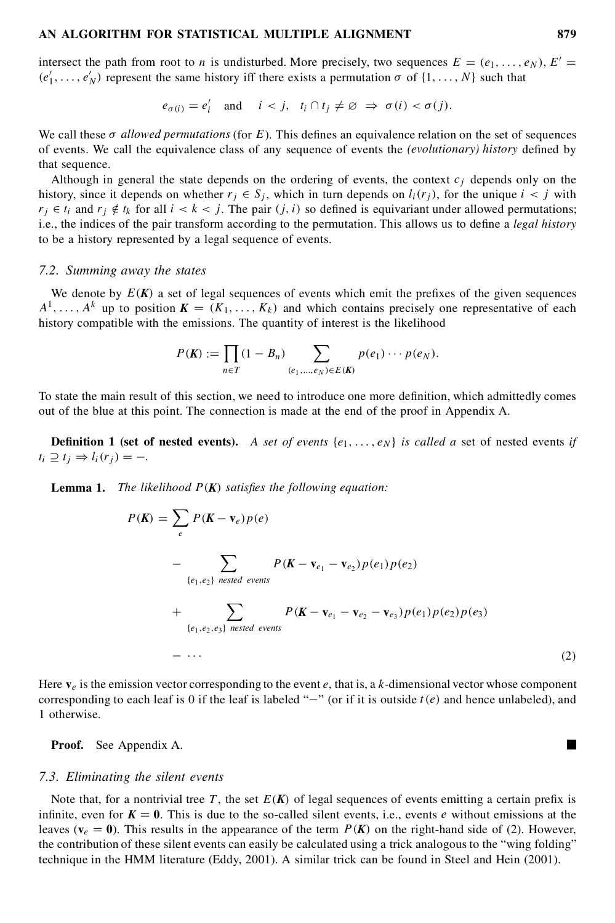intersect the path from root to *n* is undisturbed. More precisely, two sequences  $E = (e_1, \ldots, e_N)$ ,  $E' =$  $(e'_1, \ldots, e'_N)$  represent the same history iff there exists a permutation  $\sigma$  of  $\{1, \ldots, N\}$  such that

$$
e_{\sigma(i)} = e'_i
$$
 and  $i < j$ ,  $t_i \cap t_j \neq \emptyset \Rightarrow \sigma(i) < \sigma(j)$ .

We call these  $\sigma$  *allowed permutations* (for E). This defines an equivalence relation on the set of sequences of events. We call the equivalence class of any sequence of events the *(evolutionary)* history defined by that sequence.

Although in general the state depends on the ordering of events, the context  $c_j$  depends only on the history, since it depends on whether  $r_j \in S_j$ , which in turn depends on  $l_i(r_j)$ , for the unique  $i < j$  with  $r_j \in t_i$  and  $r_j \notin t_k$  for all  $i < k < j$ . The pair  $(j, i)$  so defined is equivariant under allowed permutations; i.e., the indices of the pair transform according to the permutation. This allows us to define a *legal history* to be a history represented by a legal sequence of events.

#### *7.2. Summing away the states*

We denote by  $E(K)$  a set of legal sequences of events which emit the prefixes of the given sequences  $A^1, \ldots, A^k$  up to position  $K = (K_1, \ldots, K_k)$  and which contains precisely one representative of each history compatible with the emissions. The quantity of interest is the likelihood

$$
P(K) := \prod_{n \in T} (1 - B_n) \sum_{(e_1, ..., e_N) \in E(K)} p(e_1) \cdots p(e_N).
$$

To state the main result of this section, we need to introduce one more definition, which admittedly comes out of the blue at this point. The connection is made at the end of the proof in Appendix A.

**Definition 1** (set of nested events). A set of events  $\{e_1, \ldots, e_N\}$  is called a set of nested events *if*  $t_i \supseteq t_j \Rightarrow l_i(r_j) = -.$ 

**Lemma 1.** *The likelihood*  $P(K)$  *satisfies the following equation:* 

$$
P(K) = \sum_{e} P(K - \mathbf{v}_e) p(e)
$$
  
\n
$$
- \sum_{\{e_1, e_2\}} \sum_{\text{nested events}} P(K - \mathbf{v}_{e_1} - \mathbf{v}_{e_2}) p(e_1) p(e_2)
$$
  
\n
$$
+ \sum_{\{e_1, e_2, e_3\}} \sum_{\text{nested events}} P(K - \mathbf{v}_{e_1} - \mathbf{v}_{e_2} - \mathbf{v}_{e_3}) p(e_1) p(e_2) p(e_3)
$$
  
\n
$$
- \cdots
$$
\n(2)

Here  $\mathbf{v}_e$  is the emission vector corresponding to the event  $e$ , that is, a k-dimensional vector whose component corresponding to each leaf is 0 if the leaf is labeled "-" (or if it is outside  $t(e)$  and hence unlabeled), and 1 otherwise.

**Proof.** See Appendix A.

#### *7.3. Eliminating the silent events*

Note that, for a nontrivial tree T, the set  $E(K)$  of legal sequences of events emitting a certain prefix is infinite, even for  $K = 0$ . This is due to the so-called silent events, i.e., events e without emissions at the leaves ( $v_e = 0$ ). This results in the appearance of the term  $P(K)$  on the right-hand side of (2). However, the contribution of these silent events can easily be calculated using a trick analogousto the "wing folding" technique in the HMM literature (Eddy, 2001). A similar trick can be found in Steel and Hein (2001).

 $\blacksquare$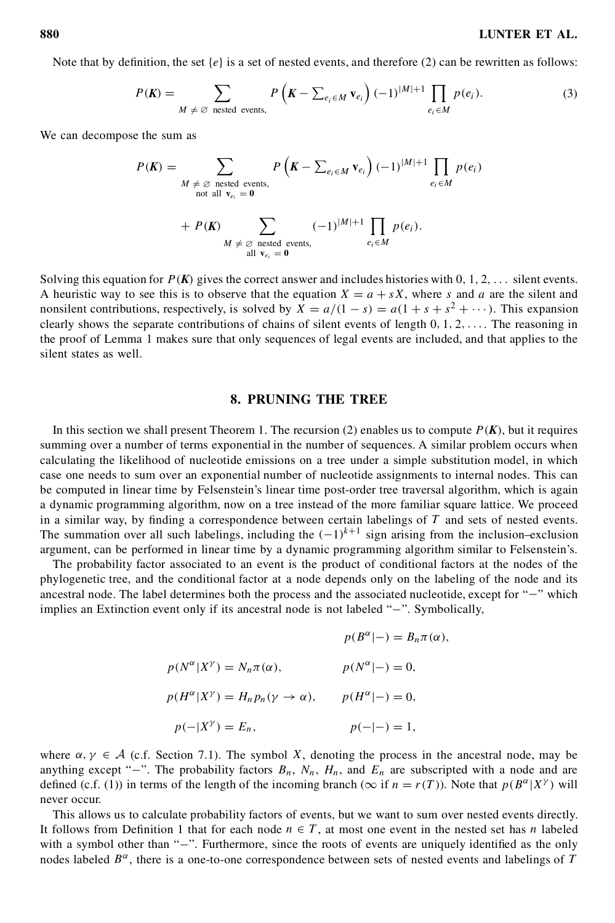Note that by definition, the set  $\{e\}$  is a set of nested events, and therefore (2) can be rewritten as follows:

$$
P(K) = \sum_{M \neq \emptyset \text{ nested events},} P\left(K - \sum_{e_i \in M} \mathbf{v}_{e_i}\right) (-1)^{|M|+1} \prod_{e_i \in M} p(e_i). \tag{3}
$$

We can decompose the sum as

$$
P(K) = \sum_{\substack{M \neq \emptyset \text{ nested events,} \\ \text{not all } \mathbf{v}_{e_i} = \mathbf{0}}} P\left(K - \sum_{e_i \in M} \mathbf{v}_{e_i}\right) (-1)^{|M|+1} \prod_{e_i \in M} p(e_i)
$$
  
+ 
$$
P(K) \sum_{\substack{M \neq \emptyset \text{ nested events,} \\ \text{all } \mathbf{v}_{e_i} = \mathbf{0}}} (-1)^{|M|+1} \prod_{e_i \in M} p(e_i).
$$

Solving this equation for  $P(K)$  gives the correct answer and includes histories with  $0, 1, 2, \ldots$  silent events. A heuristic way to see this is to observe that the equation  $X = a + sX$ , where s and a are the silent and nonsilent contributions, respectively, is solved by  $X = a/(1 - s) = a(1 + s + s^2 + \cdots)$ . This expansion clearly shows the separate contributions of chains of silent events of length  $0, 1, 2, \ldots$ . The reasoning in the proof of Lemma 1 makes sure that only sequences of legal events are included, and that applies to the silent states as well.

## **8. PRUNING THE TREE**

In this section we shall present Theorem 1. The recursion (2) enables us to compute  $P(K)$ , but it requires summing over a number of terms exponential in the number of sequences. A similar problem occurs when calculating the likelihood of nucleotide emissions on a tree under a simple substitution model, in which case one needs to sum over an exponential number of nucleotide assignments to internal nodes. This can be computed in linear time by Felsenstein's linear time post-order tree traversal algorithm, which is again a dynamic programming algorithm, now on a tree instead of the more familiar square lattice. We proceed in a similar way, by finding a correspondence between certain labelings of  $T$  and sets of nested events. The summation over all such labelings, including the  $(-1)^{k+1}$  sign arising from the inclusion–exclusion argument, can be performed in linear time by a dynamic programming algorithm similar to Felsenstein's.

The probability factor associated to an event is the product of conditional factors at the nodes of the phylogenetic tree, and the conditional factor at a node depends only on the labeling of the node and its ancestral node. The label determines both the process and the associated nucleotide, except for " $-$ " which implies an Extinction event only if its ancestral node is not labeled  $"-"$ . Symbolically,

$$
p(B^{\alpha}|-) = B_n \pi(\alpha),
$$
  
\n
$$
p(N^{\alpha}|X^{\gamma}) = N_n \pi(\alpha),
$$
  
\n
$$
p(N^{\alpha}|-) = 0,
$$
  
\n
$$
p(H^{\alpha}|X^{\gamma}) = H_n p_n(\gamma \to \alpha),
$$
  
\n
$$
p(H^{\alpha}|-) = 0,
$$
  
\n
$$
p(-|X^{\gamma}) = E_n,
$$
  
\n
$$
p(-|-) = 1,
$$

where  $\alpha, \gamma \in A$  (c.f. Section 7.1). The symbol X, denoting the process in the ancestral node, may be anything except "-". The probability factors  $B_n$ ,  $N_n$ ,  $H_n$ , and  $E_n$  are subscripted with a node and are defined (c.f. (1)) in terms of the length of the incoming branch ( $\infty$  if  $n = r(T)$ ). Note that  $p(B^{\alpha}|X^{\gamma})$  will never occur.

This allows us to calculate probability factors of events, but we want to sum over nested events directly. It follows from Definition 1 that for each node  $n \in T$ , at most one event in the nested set has n labeled with a symbol other than "-". Furthermore, since the roots of events are uniquely identified as the only nodes labeled  $B^{\alpha}$ , there is a one-to-one correspondence between sets of nested events and labelings of T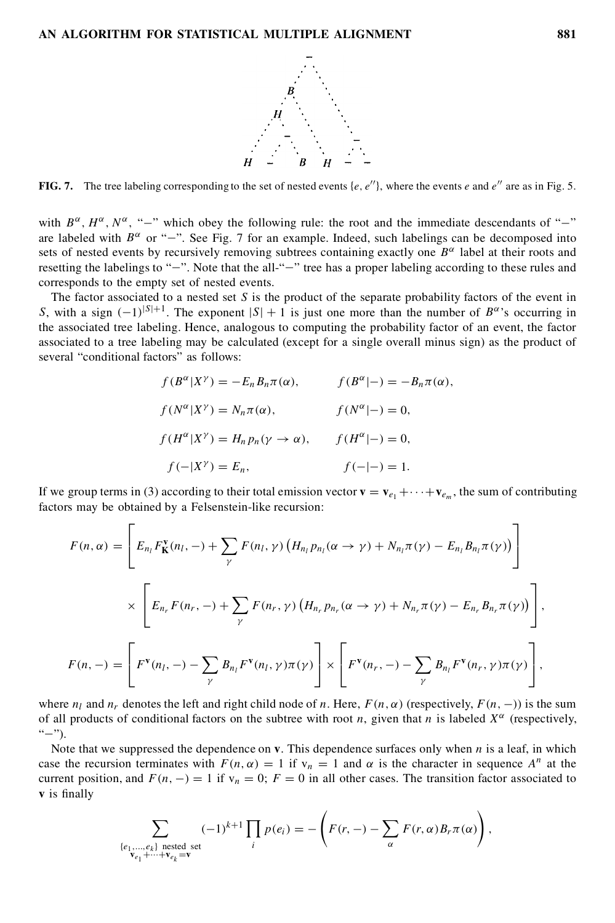

**FIG. 7.** The tree labeling corresponding to the set of nested events  $\{e, e''\}$ , where the events  $e$  and  $e''$  are as in Fig. 5.

with  $B^{\alpha}$ ,  $H^{\alpha}$ ,  $N^{\alpha}$ , "-" which obey the following rule: the root and the immediate descendants of "-" are labeled with  $B^{\alpha}$  or "-". See Fig. 7 for an example. Indeed, such labelings can be decomposed into sets of nested events by recursively removing subtrees containing exactly one  $B^{\alpha}$  label at their roots and resetting the labelings to "-". Note that the all-"-" tree has a proper labeling according to these rules and corresponds to the empty set of nested events.

The factor associated to a nested set S is the product of the separate probability factors of the event in S, with a sign  $(-1)^{|S|+1}$ . The exponent  $|S|+1$  is just one more than the number of  $B^{\alpha}$ 's occurring in the associated tree labeling. Hence, analogous to computing the probability factor of an event, the factor associated to a tree labeling may be calculated (except for a single overall minus sign) as the product of several "conditional factors" as follows:

$$
f(B^{\alpha}|X^{\gamma}) = -E_n B_n \pi(\alpha), \qquad f(B^{\alpha}|-) = -B_n \pi(\alpha),
$$
  
\n
$$
f(N^{\alpha}|X^{\gamma}) = N_n \pi(\alpha), \qquad f(N^{\alpha}|-) = 0,
$$
  
\n
$$
f(H^{\alpha}|X^{\gamma}) = H_n p_n(\gamma \to \alpha), \qquad f(H^{\alpha}|-) = 0,
$$
  
\n
$$
f(-|X^{\gamma}) = E_n, \qquad f(-|-) = 1.
$$

If we group terms in (3) according to their total emission vector  $\mathbf{v} = \mathbf{v}_{e_1} + \cdots + \mathbf{v}_{e_m}$ , the sum of contributing factors may be obtained by a Felsenstein-like recursion:

$$
F(n, \alpha) = \left[ E_{n_l} F_{\mathbf{K}}^{\mathbf{v}}(n_l, -) + \sum_{\gamma} F(n_l, \gamma) \left( H_{n_l} p_{n_l}(\alpha \to \gamma) + N_{n_l} \pi(\gamma) - E_{n_l} B_{n_l} \pi(\gamma) \right) \right]
$$
  

$$
\times \left[ E_{n_r} F(n_r, -) + \sum_{\gamma} F(n_r, \gamma) \left( H_{n_r} p_{n_r}(\alpha \to \gamma) + N_{n_r} \pi(\gamma) - E_{n_r} B_{n_r} \pi(\gamma) \right) \right],
$$
  

$$
F(n, -) = \left[ F^{\mathbf{v}}(n_l, -) - \sum_{\gamma} B_{n_l} F^{\mathbf{v}}(n_l, \gamma) \pi(\gamma) \right] \times \left[ F^{\mathbf{v}}(n_r, -) - \sum_{\gamma} B_{n_l} F^{\mathbf{v}}(n_r, \gamma) \pi(\gamma) \right],
$$

where  $n_l$  and  $n_r$  denotes the left and right child node of n. Here,  $F(n, \alpha)$  (respectively,  $F(n, -)$ ) is the sum of all products of conditional factors on the subtree with root n, given that n is labeled  $X^{\alpha}$  (respectively,  $"-"$ ).

Note that we suppressed the dependence on  $\bf{v}$ . This dependence surfaces only when  $\bf{n}$  is a leaf, in which case the recursion terminates with  $F(n, \alpha) = 1$  if  $v_n = 1$  and  $\alpha$  is the character in sequence  $A^n$  at the current position, and  $F(n, -) = 1$  if  $v_n = 0$ ;  $F = 0$  in all other cases. The transition factor associated to **v** is finally

$$
\sum_{\substack{\{e_1,\ldots,e_k\} \text{ nested set} \\ v_{e_1}+\cdots+v_{e_k}=v}} (-1)^{k+1} \prod_i p(e_i) = -\left(F(r,-) - \sum_{\alpha} F(r,\alpha) B_r \pi(\alpha)\right),
$$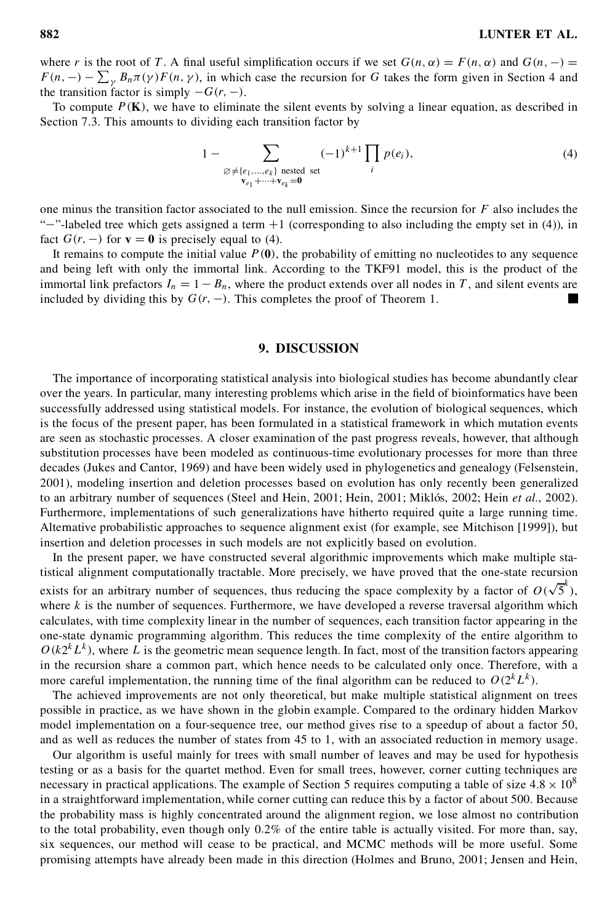where r is the root of T. A final useful simplification occurs if we set  $G(n, \alpha) = F(n, \alpha)$  and  $G(n, -) =$ where r is the root of T. A final useful simplification occurs if we set  $G(n, \alpha) = F(n, \alpha)$  and  $G(n, -) = F(n, -) - \sum_{\gamma} B_n \pi(\gamma) F(n, \gamma)$ , in which case the recursion for G takes the form given in Section 4 and the transition factor is simply  $-G(r, -)$ .<br>To compute  $P(K)$ , we have to eliminate the silent events by solving a linear equation, as described in

Section 7.3. This amounts to dividing each transition factor by

$$
1 - \sum_{\substack{\emptyset \neq \{e_1, \dots, e_k\} \text{ nested set} \\ \mathbf{v}_{e_1} + \dots + \mathbf{v}_{e_k} = \mathbf{0}}} (-1)^{k+1} \prod_i p(e_i), \tag{4}
$$

one minus the transition factor associated to the null emission. Since the recursion for  $F$  also includes the " $-$ "-labeled tree which gets assigned a term  $+1$  (corresponding to also including the empty set in (4)), in fact  $G(r, -)$  for  $\mathbf{v} = \mathbf{0}$  is precisely equal to (4).

It remains to compute the initial value  $P(0)$ , the probability of emitting no nucleotides to any sequence and being left with only the immortal link. According to the TKF91 model, this is the product of the immortal link prefactors  $I_n = 1 - B_n$ , where the product extends over all nodes in T, and silent events are included by dividing this by  $G(r, -)$ . This completes the proof of Theorem 1.

# **9. DISCUSSION**

The importance of incorporating statistical analysis into biological studies has become abundantly clear over the years. In particular, many interesting problems which arise in the field of bioinformatics have been successfully addressed using statistical models. For instance, the evolution of biological sequences, which is the focus of the present paper, has been formulated in a statistical framework in which mutation events are seen as stochastic processes. A closer examination of the past progress reveals, however, that although substitution processes have been modeled as continuous-time evolutionary processes for more than three decades (Jukes and Cantor, 1969) and have been widely used in phylogenetics and genealogy (Felsenstein, 2001), modeling insertion and deletion processes based on evolution has only recently been generalized to an arbitrary number of sequences (Steel and Hein, 2001; Hein, 2001; Miklós, 2002; Hein *et al.*, 2002). Furthermore, implementations of such generalizations have hitherto required quite a large running time. Alternative probabilistic approaches to sequence alignment exist (for example, see Mitchison [1999]), but insertion and deletion processes in such models are not explicitly based on evolution.

In the present paper, we have constructed several algorithmic improvements which make multiple statistical alignment computationally tractable. More precisely, we have proved that the one-state recursion exists for an arbitrary number of sequences, thus reducing the space complexity by a factor of  $O(\sqrt{5}^k)$ , where  $k$  is the number of sequences. Furthermore, we have developed a reverse traversal algorithm which calculates, with time complexity linear in the number of sequences, each transition factor appearing in the one-state dynamic programming algorithm. This reduces the time complexity of the entire algorithm to  $O(k2^kL^k)$ , where L is the geometric mean sequence length. In fact, most of the transition factors appearing in the recursion share a common part, which hence needs to be calculated only once. Therefore, with a more careful implementation, the running time of the final algorithm can be reduced to  $O(2^k L^k)$ .

The achieved improvements are not only theoretical, but make multiple statistical alignment on trees possible in practice, as we have shown in the globin example. Compared to the ordinary hidden Markov model implementation on a four-sequence tree, our method gives rise to a speedup of about a factor 50, and as well as reduces the number of states from 45 to 1, with an associated reduction in memory usage.

Our algorithm is useful mainly for trees with small number of leaves and may be used for hypothesis testing or as a basis for the quartet method. Even for small trees, however, corner cutting techniques are necessary in practical applications. The example of Section 5 requires computing a table of size  $4.8 \times 10^8$ in a straightforward implementation, while corner cutting can reduce this by a factor of about 500. Because the probability mass is highly concentrated around the alignment region, we lose almost no contribution to the total probability, even though only 0:2% of the entire table is actually visited. For more than, say, six sequences, our method will cease to be practical, and MCMC methods will be more useful. Some promising attempts have already been made in this direction (Holmes and Bruno, 2001; Jensen and Hein,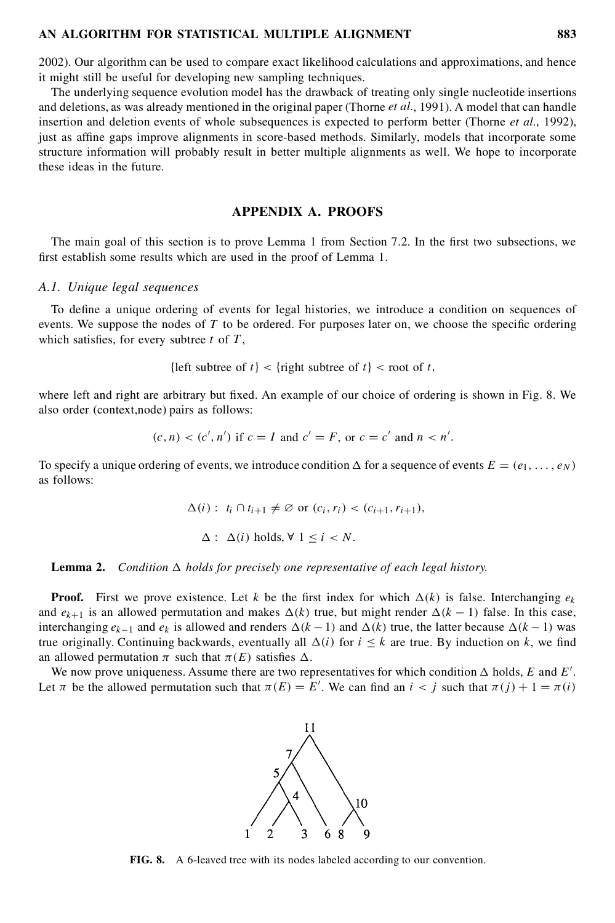2002). Our algorithm can be used to compare exact likelihood calculations and approximations, and hence it might still be useful for developing new sampling techniques.

The underlying sequence evolution model has the drawback of treating only single nucleotide insertions and deletions, as was already mentioned in the original paper (Thorne *et al.*, 1991). A model that can handle insertion and deletion events of whole subsequences is expected to perform better (Thorne *et al.*, 1992), just as affine gaps improve alignments in score-based methods. Similarly, models that incorporate some structure information will probably result in better multiple alignments as well. We hope to incorporate these ideas in the future.

# **APPENDIX A. PROOFS**

The main goal of this section is to prove Lemma 1 from Section 7.2. In the first two subsections, we first establish some results which are used in the proof of Lemma 1.

#### *A.1. Unique legal sequences*

To define a unique ordering of events for legal histories, we introduce a condition on sequences of events. We suppose the nodes of  $T$  to be ordered. For purposes later on, we choose the specific ordering which satisfies, for every subtree  $t$  of  $T$ ,

{left subtree of  $t \leq \{\text{right subtree of } t\}$  < root of t,

where left and right are arbitrary but fixed. An example of our choice of ordering is shown in Fig. 8. We also order (context,node) pairs as follows:

$$
(c, n) < (c', n')
$$
 if  $c = I$  and  $c' = F$ , or  $c = c'$  and  $n < n'$ .

To specify a unique ordering of events, we introduce condition  $\Delta$  for a sequence of events  $E = (e_1, \ldots, e_N)$ as follows:

 $\Delta(i)$ :  $t_i \cap t_{i+1} \neq \emptyset$  or  $(c_i, r_i) < (c_{i+1}, r_{i+1}),$ 

 $\Delta$ :  $\Delta(i)$  holds,  $\forall$  1 < *i* < *N*.

#### **Lemma 2.** Condition  $\Delta$  holds for precisely one representative of each legal history.

**Proof.** First we prove existence. Let k be the first index for which  $\Delta(k)$  is false. Interchanging  $e_k$ and  $e_{k+1}$  is an allowed permutation and makes  $\Delta(k)$  true, but might render  $\Delta(k - 1)$  false. In this case, interchanging  $e_{k-1}$  and  $e_k$  is allowed and renders  $\Delta(k-1)$  and  $\Delta(k)$  true, the latter because  $\Delta(k-1)$  was true originally. Continuing backwards, eventually all  $\Delta(i)$  for  $i \leq k$  are true. By induction on k, we find an allowed permutation  $\pi$  such that  $\pi(E)$  satisfies  $\Delta$ .

We now prove uniqueness. Assume there are two representatives for which condition  $\Delta$  holds, E and E'. Let  $\pi$  be the allowed permutation such that  $\pi(E) = E'$ . We can find an  $i < j$  such that  $\pi(j) + 1 = \pi(i)$ 



**FIG. 8.** A 6-leaved tree with its nodes labeled according to our convention.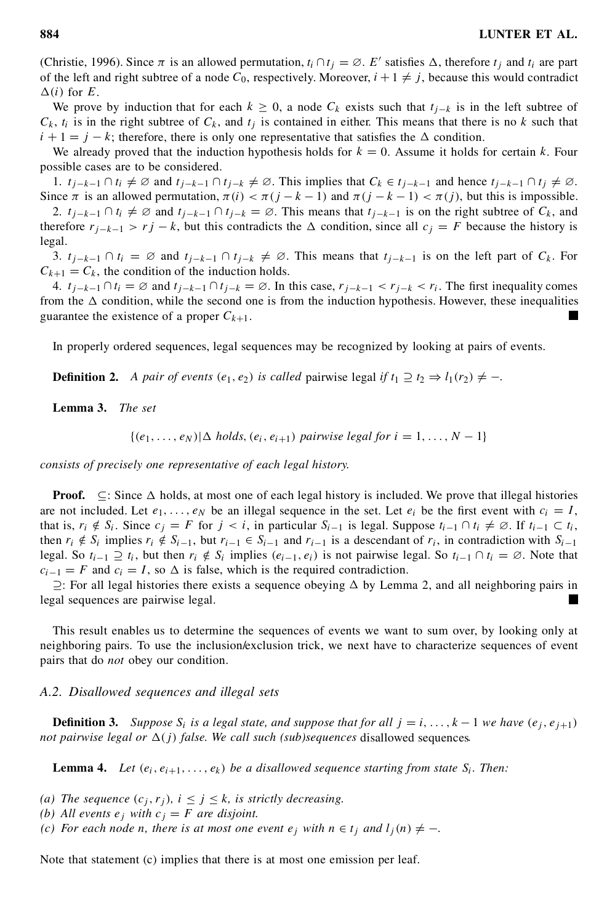(Christie, 1996). Since  $\pi$  is an allowed permutation,  $t_i \cap t_j = \emptyset$ . E' satisfies  $\Delta$ , therefore  $t_j$  and  $t_i$  are part of the left and right subtree of a node  $C_0$ , respectively. Moreover,  $i + 1 \neq j$ , because this would contradict  $\Delta(i)$  for E.

We prove by induction that for each  $k \geq 0$ , a node  $C_k$  exists such that  $t_{i-k}$  is in the left subtree of  $C_k$ ,  $t_i$  is in the right subtree of  $C_k$ , and  $t_j$  is contained in either. This means that there is no k such that  $i + 1 = j - k$ ; therefore, there is only one representative that satisfies the  $\Delta$  condition.

We already proved that the induction hypothesis holds for  $k = 0$ . Assume it holds for certain k. Four possible cases are to be considered.

1.  $t_{j-k-1} \cap t_i \neq \emptyset$  and  $t_{j-k-1} \cap t_{j-k} \neq \emptyset$ . This implies that  $C_k \in t_{j-k-1}$  and hence  $t_{j-k-1} \cap t_j \neq \emptyset$ .<br>Since  $\pi$  is an allowed permutation,  $\pi(i) < \pi(j-k-1)$  and  $\pi(j-k-1) < \pi(j)$ , but this is impossible.

2.  $t_{i-k-1} \cap t_i \neq \emptyset$  and  $t_{i-k-1} \cap t_{i-k} = \emptyset$ . This means that  $t_{i-k-1}$  is on the right subtree of  $C_k$ , and therefore  $r_{i-k-1} > r_j - k$ , but this contradicts the  $\Delta$  condition, since all  $c_j = F$  because the history is legal.

3.  $t_{i-k-1} \cap t_i = \emptyset$  and  $t_{i-k-1} \cap t_{i-k} \neq \emptyset$ . This means that  $t_{i-k-1}$  is on the left part of  $C_k$ . For  $C_{k+1} = C_k$ , the condition of the induction holds.

4.  $t_{i-k-1} \cap t_i = \emptyset$  and  $t_{i-k-1} \cap t_{i-k} = \emptyset$ . In this case,  $r_{i-k-1} < r_{i-k} < r_i$ . The first inequality comes from the  $\Delta$  condition, while the second one is from the induction hypothesis. However, these inequalities guarantee the existence of a proper  $C_{k+1}$ .

In properly ordered sequences, legal sequences may be recognized by looking at pairs of events.

**Definition 2.** *A pair of events*  $(e_1, e_2)$  *is called pairwise legal if*  $t_1 \supseteq t_2 \Rightarrow l_1(r_2) \neq -$ .

**Lemma 3.** *The set*

 $\{(e_1,\ldots,e_N)|\Delta \text{ holds}, (e_i,e_{i+1}) \text{ pairwise legal for } i=1,\ldots,N-1\}$ 

*consists of precisely one representative of each legal history.*

**Proof.**  $\subseteq$ : Since  $\triangle$  holds, at most one of each legal history is included. We prove that illegal histories are not included. Let  $e_1, \ldots, e_N$  be an illegal sequence in the set. Let  $e_i$  be the first event with  $c_i = I$ , that is,  $r_i \notin S_i$ . Since  $c_j = F$  for  $j < i$ , in particular  $S_{i-1}$  is legal. Suppose  $t_{i-1} \cap t_i \neq \emptyset$ . If  $t_{i-1} \subset t_i$ , then  $r_i \notin S_i$  implies  $r_i \notin S_{i-1}$ , but  $r_{i-1} \in S_{i-1}$  and  $r_{i-1}$  is a descendant of  $r_i$ , in contradiction with  $S_{i-1}$ legal. So  $t_{i-1} \supseteq t_i$ , but then  $r_i \notin S_i$  implies  $(e_{i-1}, e_i)$  is not pairwise legal. So  $t_{i-1} \cap t_i = \emptyset$ . Note that  $c_{i-1} = F$  and  $c_i = I$ , so  $\Delta$  is false, which is the required contradiction.

 $\supseteq$ : For all legal histories there exists a sequence obeying  $\Delta$  by Lemma 2, and all neighboring pairs in legal sequences are pairwise legal.

This result enables us to determine the sequences of events we want to sum over, by looking only at neighboring pairs. To use the inclusion/exclusion trick, we next have to characterize sequences of event pairs that do *not* obey our condition.

#### *A.2. Disallowed sequences and illegal sets*

**Definition 3.** Suppose  $S_i$  is a legal state, and suppose that for all  $j = i, ..., k - 1$  we have  $(e_j, e_{j+1})$ *not* pairwise legal or  $\Delta(j)$  *false. We call such (sub)sequences* disallowed sequences.

**Lemma 4.** Let  $(e_i, e_{i+1}, \ldots, e_k)$  be a disallowed sequence starting from state  $S_i$ . Then:

Note that statement (c) implies that there is at most one emission per leaf.

*<sup>(</sup>a) The sequence*  $(c_j, r_j)$ *,*  $i \leq j \leq k$ *, is strictly decreasing.* 

*<sup>(</sup>b) All events*  $e_j$  *with*  $c_j = F$  *are disjoint.* 

*<sup>(</sup>c)* For each node n, there is at most one event  $e_j$  with  $n \in t_j$  and  $l_j(n) \neq -$ .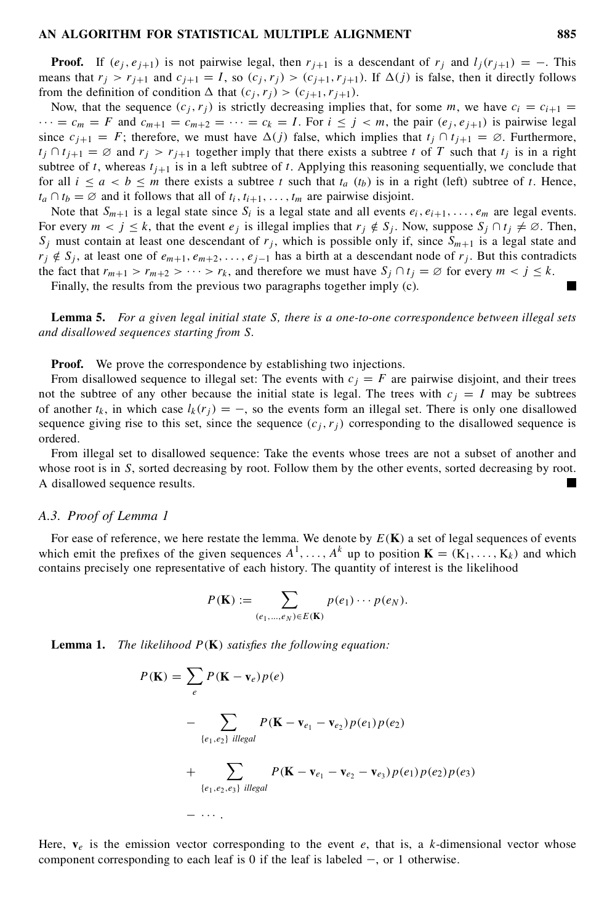**Proof.** If  $(e_i, e_{i+1})$  is not pairwise legal, then  $r_{i+1}$  is a descendant of  $r_i$  and  $l_i(r_{i+1}) = -$ . This means that  $r_j > r_{j+1}$  and  $c_{j+1} = I$ , so  $(c_j, r_j) > (c_{j+1}, r_{j+1})$ . If  $\Delta(j)$  is false, then it directly follows from the definition of condition  $\Delta$  that  $(c_j, r_j) > (c_{j+1}, r_{j+1})$ .

Now, that the sequence  $(c_i, r_i)$  is strictly decreasing implies that, for some m, we have  $c_i = c_{i+1}$  $\cdots = c_m = F$  and  $c_{m+1} = c_{m+2} = \cdots = c_k = I$ . For  $i \le j \lt m$ , the pair  $(e_j, e_{j+1})$  is pairwise legal since  $c_{i+1} = F$ ; therefore, we must have  $\Delta(i)$  false, which implies that  $t_i \cap t_{i+1} = \emptyset$ . Furthermore,  $t_i \cap t_{i+1} = \emptyset$  and  $r_i > r_{i+1}$  together imply that there exists a subtree t of T such that  $t_i$  is in a right subtree of t, whereas  $t_{i+1}$  is in a left subtree of t. Applying this reasoning sequentially, we conclude that for all  $i \le a < b \le m$  there exists a subtree t such that  $t_a$  ( $t_b$ ) is in a right (left) subtree of t. Hence,  $t_a \cap t_b = \emptyset$  and it follows that all of  $t_i, t_{i+1}, \ldots, t_m$  are pairwise disjoint.

Note that  $S_{m+1}$  is a legal state since  $S_i$  is a legal state and all events  $e_i, e_{i+1}, \ldots, e_m$  are legal events. For every  $m < j \le k$ , that the event  $e_j$  is illegal implies that  $r_j \notin S_j$ . Now, suppose  $S_j \cap t_j \neq \emptyset$ . Then,  $S_i$  must contain at least one descendant of  $r_i$ , which is possible only if, since  $S_{m+1}$  is a legal state and  $r_j \notin S_j$ , at least one of  $e_{m+1}, e_{m+2}, \ldots, e_{j-1}$  has a birth at a descendant node of  $r_j$ . But this contradicts the fact that  $r_{m+1} > r_{m+2} > \cdots > r_k$ , and therefore we must have  $S_j \cap t_j = \emptyset$  for every  $m < j \le k$ .<br>Finally, the results from the previous two paragraphs together imply (c).

**Lemma 5.** *For a given legal initial state* S*, there is a one-to-one correspondence between illegal sets and disallowed sequences starting from* S*.*

**Proof.** We prove the correspondence by establishing two injections.

From disallowed sequence to illegal set: The events with  $c_j = F$  are pairwise disjoint, and their trees not the subtree of any other because the initial state is legal. The trees with  $c_j = I$  may be subtrees of another  $t_k$ , in which case  $l_k(r_j) = -$ , so the events form an illegal set. There is only one disallowed sequence giving rise to this set, since the sequence  $(c_i, r_j)$  corresponding to the disallowed sequence is ordered.

From illegal set to disallowed sequence: Take the events whose trees are not a subset of another and whose root is in S, sorted decreasing by root. Follow them by the other events, sorted decreasing by root. A disallowed sequence results.

#### *A.3. Proof of Lemma 1*

For ease of reference, we here restate the lemma. We denote by  $E(K)$  a set of legal sequences of events which emit the prefixes of the given sequences  $A^1, \ldots, A^k$  up to position  $\mathbf{K} = (K_1, \ldots, K_k)$  and which contains precisely one representative of each history. The quantity of interest is the likelihood

$$
P(\mathbf{K}) := \sum_{(e_1,\ldots,e_N)\in E(\mathbf{K})} p(e_1)\cdots p(e_N).
$$

**Lemma 1.** *The likelihood*  $P(K)$  *satisfies the following equation:* 

$$
P(\mathbf{K}) = \sum_{e} P(\mathbf{K} - \mathbf{v}_e) p(e)
$$
  
- 
$$
\sum_{\{e_1, e_2\}} P(\mathbf{K} - \mathbf{v}_{e_1} - \mathbf{v}_{e_2}) p(e_1) p(e_2)
$$
  
+ 
$$
\sum_{\{e_1, e_2, e_3\}} P(\mathbf{K} - \mathbf{v}_{e_1} - \mathbf{v}_{e_2} - \mathbf{v}_{e_3}) p(e_1) p(e_2) p(e_3)
$$
  
- 
$$
\cdots
$$

Here,  $\mathbf{v}_e$  is the emission vector corresponding to the event e, that is, a k-dimensional vector whose component corresponding to each leaf is 0 if the leaf is labeled  $-$ , or 1 otherwise.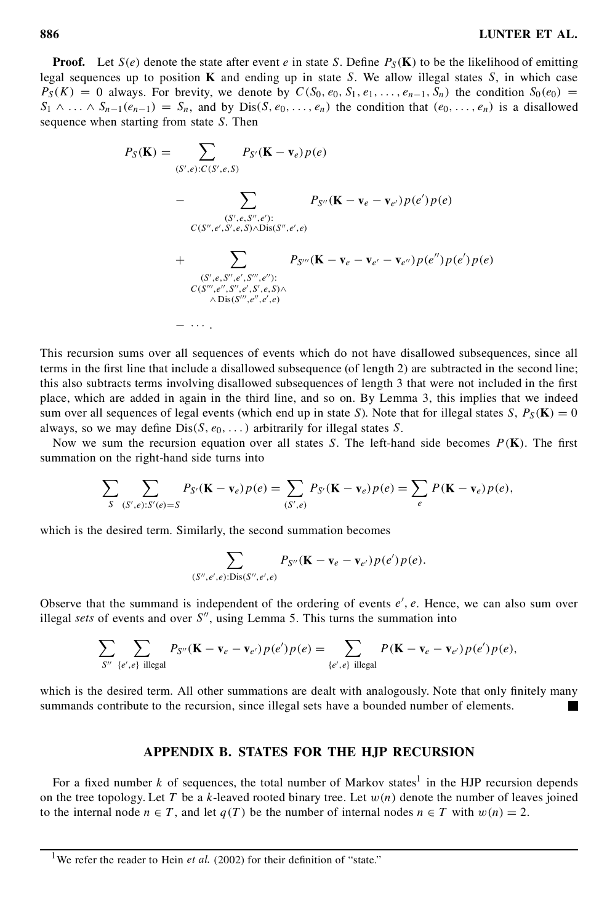**Proof.** Let  $S(e)$  denote the state after event e in state S. Define  $P_S(K)$  to be the likelihood of emitting legal sequences up to position **K** and ending up in state S. We allow illegal states  $S$ , in which case  $P_S(K) = 0$  always. For brevity, we denote by  $C(S_0, e_0, S_1, e_1, \ldots, e_{n-1}, S_n)$  the condition  $S_0(e_0) =$  $S_1 \wedge \ldots \wedge S_{n-1}(e_{n-1}) = S_n$ , and by  $Dis(S, e_0, \ldots, e_n)$  the condition that  $(e_0, \ldots, e_n)$  is a disallowed sequence when starting from state S. Then

$$
P_{S}(\mathbf{K}) = \sum_{(S', e): C(S', e, S)} P_{S'}(\mathbf{K} - \mathbf{v}_{e}) p(e)
$$
  
- 
$$
\sum_{(S', e, S'', e')': C(S'', e', S', e, S) \wedge \text{Dis}(S'', e', e)} P_{S''}(\mathbf{K} - \mathbf{v}_{e} - \mathbf{v}_{e'}) p(e') p(e)
$$
  
+ 
$$
\sum_{(S', e, S'', e', S'', e'')': C(S'', e'', s'', e'')': C(S'', e'', S'', e, S) \wedge \text{Dis}(S'', e'', e', e)} P_{S'''}(\mathbf{K} - \mathbf{v}_{e} - \mathbf{v}_{e'} - \mathbf{v}_{e''}) p(e'') p(e') p(e)
$$
  
- 
$$
\cdots
$$

This recursion sums over all sequences of events which do not have disallowed subsequences, since all terms in the first line that include a disallowed subsequence (of length 2) are subtracted in the second line; this also subtracts terms involving disallowed subsequences of length 3 that were not included in the first place, which are added in again in the third line, and so on. By Lemma 3, this implies that we indeed sum over all sequences of legal events (which end up in state S). Note that for illegal states S,  $P_S(\mathbf{K}) = 0$ always, so we may define  $Dis(S, e_0, \ldots)$  arbitrarily for illegal states S.

Now we sum the recursion equation over all states S. The left-hand side becomes  $P(K)$ . The first summation on the right-hand side turns into

$$
\sum_{S} \sum_{(S',e):S'(e)=S} P_{S'}(\mathbf{K}-\mathbf{v}_e) p(e) = \sum_{(S',e)} P_{S'}(\mathbf{K}-\mathbf{v}_e) p(e) = \sum_{e} P(\mathbf{K}-\mathbf{v}_e) p(e),
$$

which is the desired term. Similarly, the second summation becomes

$$
\sum_{(S'',e',e):\text{Dis}(S'',e',e)} P_{S''}(\mathbf{K}-\mathbf{v}_e-\mathbf{v}_{e'})p(e')p(e).
$$

Observe that the summand is independent of the ordering of events  $e'$ ,  $e$ . Hence, we can also sum over illegal *sets* of events and over  $S''$ , using Lemma 5. This turns the summation into

$$
\sum_{S''} \sum_{\{e',e\} \text{ illegal}} P_{S''}(\mathbf{K} - \mathbf{v}_e - \mathbf{v}_{e'}) p(e') p(e) = \sum_{\{e',e\} \text{ illegal}} P(\mathbf{K} - \mathbf{v}_e - \mathbf{v}_{e'}) p(e') p(e),
$$

which is the desired term. All other summations are dealt with analogously. Note that only finitely many summands contribute to the recursion, since illegal sets have a bounded number of elements.  $\blacksquare$ 

# **APPENDIX B. STATES FOR THE HJP RECURSION**

For a fixed number k of sequences, the total number of Markov states<sup>1</sup> in the HJP recursion depends on the tree topology. Let T be a k-leaved rooted binary tree. Let  $w(n)$  denote the number of leaves joined to the internal node  $n \in T$ , and let  $q(T)$  be the number of internal nodes  $n \in T$  with  $w(n) = 2$ .

<sup>&</sup>lt;sup>1</sup>We refer the reader to Hein *et al.* (2002) for their definition of "state."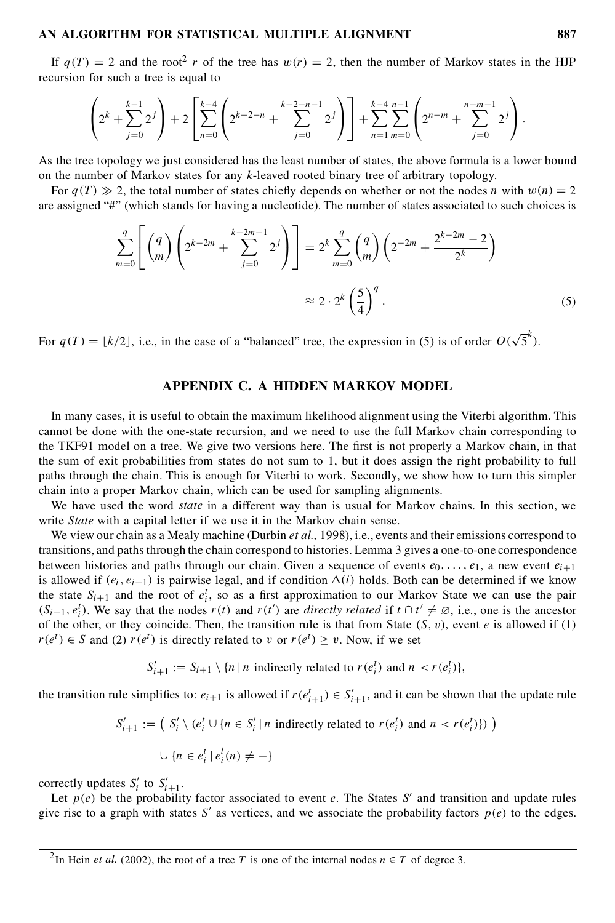If  $q(T) = 2$  and the root<sup>2</sup> r of the tree has  $w(r) = 2$ , then the number of Markov states in the HJP recursion for such a tree is equal to

$$
\left(2^k+\sum_{j=0}^{k-1}2^j\right)+2\left[\sum_{n=0}^{k-4}\left(2^{k-2-n}+\sum_{j=0}^{k-2-n-1}2^j\right)\right]+\sum_{n=1}^{k-4}\sum_{m=0}^{n-1}\left(2^{n-m}+\sum_{j=0}^{n-m-1}2^j\right).
$$

As the tree topology we just considered has the least number of states, the above formula is a lower bound on the number of Markov states for any k-leaved rooted binary tree of arbitrary topology.

For  $q(T) \gg 2$ , the total number of states chiefly depends on whether or not the nodes n with  $w(n) = 2$ are assigned "#" (which stands for having a nucleotide). The number of states associated to such choices is

$$
\sum_{m=0}^{q} \left[ \binom{q}{m} \left( 2^{k-2m} + \sum_{j=0}^{k-2m-1} 2^j \right) \right] = 2^k \sum_{m=0}^{q} \binom{q}{m} \left( 2^{-2m} + \frac{2^{k-2m} - 2}{2^k} \right)
$$
  

$$
\approx 2 \cdot 2^k \left( \frac{5}{4} \right)^q.
$$
 (5)

For  $q(T) = \lfloor k/2 \rfloor$ , i.e., in the case of a "balanced" tree, the expression in (5) is of order  $O(\sqrt{5}^k)$ .

# **APPENDIX C. A HIDDEN MARKOV MODEL**

In many cases, it is useful to obtain the maximum likelihood alignment using the Viterbi algorithm. This cannot be done with the one-state recursion, and we need to use the full Markov chain corresponding to the TKF91 model on a tree. We give two versions here. The first is not properly a Markov chain, in that the sum of exit probabilities from states do not sum to 1, but it does assign the right probability to full paths through the chain. This is enough for Viterbi to work. Secondly, we show how to turn this simpler chain into a proper Markov chain, which can be used for sampling alignments.

We have used the word *state* in a different way than is usual for Markov chains. In this section, we write *State* with a capital letter if we use it in the Markov chain sense.

We view our chain as a Mealy machine (Durbin *et al.*, 1998), i.e., events and their emissions correspond to transitions, and pathsthrough the chain correspond to histories. Lemma 3 gives a one-to-one correspondence between histories and paths through our chain. Given a sequence of events  $e_0$ , ...,  $e_1$ , a new event  $e_{i+1}$ is allowed if  $(e_i, e_{i+1})$  is pairwise legal, and if condition  $\Delta(i)$  holds. Both can be determined if we know the state  $S_{i+1}$  and the root of  $e_i^t$ , so as a first approximation to our Markov State we can use the pair  $(S_{i+1}, e_i^t)$ . We say that the nodes  $r(t)$  and  $r(t')$  are *directly related* if  $t \cap t' \neq \emptyset$ , i.e., one is the ancestor of the other, or they coincide. Then, the transition rule is that from State  $(S, v)$ , event e is allowed if (1)  $r(e^t) \in S$  and (2)  $r(e^t)$  is directly related to v or  $r(e^t) \ge v$ . Now, if we set

$$
S'_{i+1} := S_{i+1} \setminus \{n \mid n \text{ indirectly related to } r(e_i^t) \text{ and } n < r(e_i^t)\},
$$

the transition rule simplifies to:  $e_{i+1}$  is allowed if  $r(e_{i+1}^t) \in S'_{i+1}$ , and it can be shown that the update rule

$$
S'_{i+1} := (S'_i \setminus (e_i^t \cup \{n \in S'_i \mid n \text{ indirectly related to } r(e_i^t) \text{ and } n < r(e_i^t)\}) )
$$

$$
\cup \{ n \in e_i^t \mid e_i^l(n) \neq - \}
$$

correctly updates  $S_i'$  to  $S_{i+1}'$ .

Let  $p(e)$  be the probability factor associated to event e. The States S' and transition and update rules give rise to a graph with states S' as vertices, and we associate the probability factors  $p(e)$  to the edges.

<sup>&</sup>lt;sup>2</sup>In Hein *et al.* (2002), the root of a tree T is one of the internal nodes  $n \in T$  of degree 3.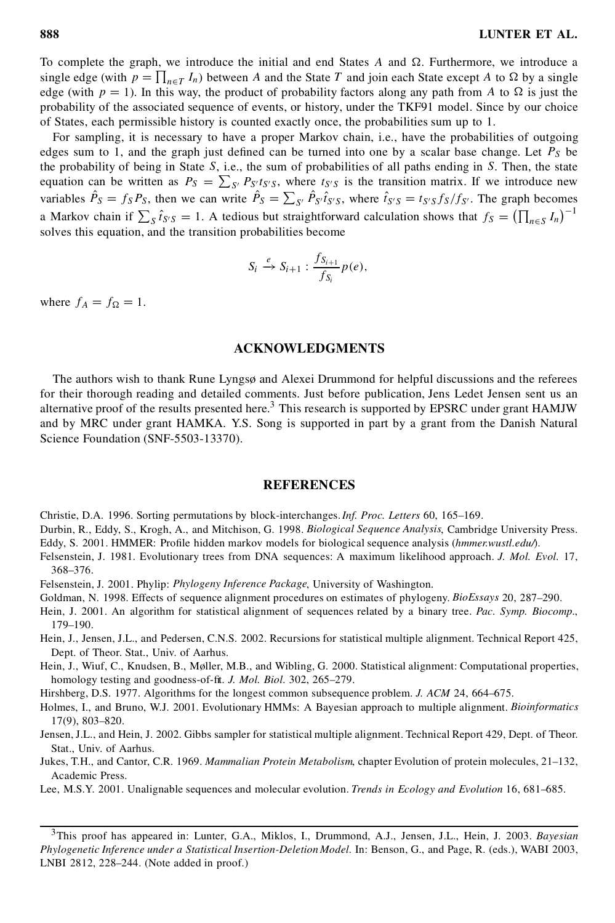To complete the graph, we introduce the initial and end States  $A$  and  $\Omega$ . Furthermore, we introduce a single edge (with  $p = \prod_{n \in T} I_n$ ) between A and the State T and join each State except A to  $\Omega$  by a single edge (with  $p = 1$ ). In this way, the product of probability factors along any path from A to  $\Omega$  is just the probability of the associated sequence of events, or history, under the TKF91 model. Since by our choice of States, each permissible history is counted exactly once, the probabilities sum up to 1.

For sampling, it is necessary to have a proper Markov chain, i.e., have the probabilities of outgoing edges sum to 1, and the graph just defined can be turned into one by a scalar base change. Let  $P<sub>S</sub>$  be the probability of being in State  $S$ , i.e., the sum of probabilities of all paths ending in  $S$ . Then, the state the probability of being in state 3, i.e., the sum of probabilities of all paths ending in 3. Then, the state<br>equation can be written as  $P_S = \sum_{S'} P_{S'} t_{S'} s$ , where  $t_{S'} s$  is the transition matrix. If we introduce new variables  $\hat{P}_S = f_S P_S$ , then we can write  $\hat{P}_S = \sum_{S'} \hat{P}_{S'} \hat{t}_{S'S}$ , where  $\hat{t}_{S'S} = t_{S'S} f_S / f_{S'}$ . The graph becomes a Markov chain if  $\sum_{S} \hat{t}_{S'S} = 1$ . A tedious but straightforward calculation shows that  $f_S = (\prod_{n \in S} I_n)^{-1}$  $\sum_{1}^{1}$ solves this equation, and the transition probabilities become

$$
S_i \xrightarrow{e} S_{i+1} : \frac{f_{S_{i+1}}}{f_{S_i}} p(e),
$$

where  $f_A = f_{\Omega} = 1$ .

# **ACKNOWLEDGMENTS**

The authors wish to thank Rune Lyngsø and Alexei Drummond for helpful discussions and the referees for their thorough reading and detailed comments. Just before publication, Jens Ledet Jensen sent us an alternative proof of the results presented here.<sup>3</sup> This research is supported by EPSRC under grant HAMJW and by MRC under grant HAMKA. Y.S. Song is supported in part by a grant from the Danish Natural Science Foundation (SNF-5503-13370).

#### **REFERENCES**

Christie, D.A. 1996. Sorting permutations by block-interchanges.*Inf. Proc. Letters* 60, 165–169.

Durbin, R., Eddy, S., Krogh, A., and Mitchison, G. 1998. *Biological Sequence Analysis*, Cambridge University Press. Eddy, S. 2001. HMMER: Profile hidden markov models for biological sequence analysis (hmmer.wustl.edu/).

- Felsenstein, J. 1981. Evolutionary trees from DNA sequences: A maximum likelihood approach. *J. Mol. Evol.* 17, 368–376.
- Felsenstein, J. 2001. Phylip: *Phylogeny Inference Package*, University of Washington.
- Goldman, N. 1998. Effects of sequence alignment procedures on estimates of phylogeny. *BioEssays* 20, 287–290.
- Hein, J. 2001. An algorithm for statistical alignment of sequences related by a binary tree. *Pac. Symp. Biocomp.*, 179–190.
- Hein, J., Jensen, J.L., and Pedersen, C.N.S. 2002. Recursions for statistical multiple alignment. Technical Report 425, Dept. of Theor. Stat., Univ. of Aarhus.
- Hein, J., Wiuf, C., Knudsen, B., Møller, M.B., and Wibling, G. 2000. Statistical alignment: Computational properties, homology testing and goodness-of-fit. *J. Mol. Biol.* 302, 265-279.
- Hirshberg, D.S. 1977. Algorithms for the longest common subsequence problem. *J. ACM* 24, 664–675.
- Holmes, I., and Bruno, W.J. 2001. Evolutionary HMMs: A Bayesian approach to multiple alignment. *Bioinformatics* 17(9), 803–820.
- Jensen,J.L., and Hein, J. 2002. Gibbs sampler for statistical multiple alignment. Technical Report 429, Dept. of Theor. Stat., Univ. of Aarhus.
- Jukes, T.H., and Cantor, C.R. 1969. *Mammalian Protein Metabolism*, chapter Evolution of protein molecules, 21–132, Academic Press.
- Lee, M.S.Y. 2001. Unalignable sequences and molecular evolution. *Trends in Ecology and Evolution* 16, 681–685.

<sup>3</sup>This proof has appeared in: Lunter, G.A., Miklos, I., Drummond, A.J., Jensen, J.L., Hein, J. 2003. *Bayesian Phylogenetic Inference under a Statistical Insertion-Deletion Model.* In: Benson, G., and Page, R. (eds.), WABI 2003, LNBI 2812, 228–244. (Note added in proof.)